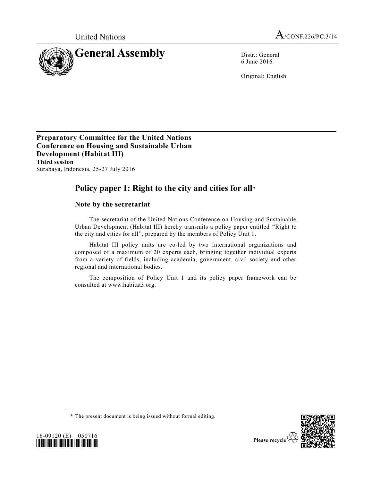

6 June 2016

Original: English

**Preparatory Committee for the United Nations Conference on Housing and Sustainable Urban Development (Habitat III) Third session**  Surabaya, Indonesia, 25-27 July 2016

# **Policy paper 1: Right to the city and cities for all**\*

# **Note by the secretariat**

The secretariat of the United Nations Conference on Housing and Sustainable Urban Development (Habitat III) hereby transmits a policy paper entitled "Right to the city and cities for all", prepared by the members of Policy Unit 1.

Habitat III policy units are co-led by two international organizations and composed of a maximum of 20 experts each, bringing together individual experts from a variety of fields, including academia, government, civil society and other regional and international bodies.

The composition of Policy Unit 1 and its policy paper framework can be consulted at www.habitat3.org.





<sup>\*</sup> The present document is being issued without formal editing.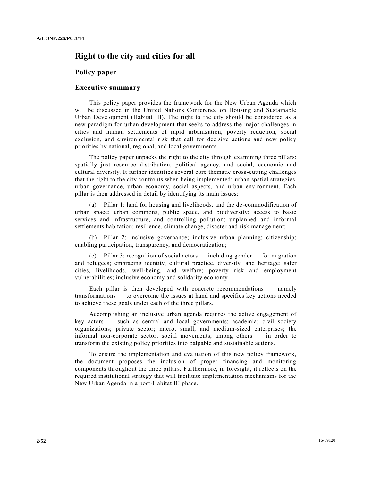# **Right to the city and cities for all**

## **Policy paper**

## **Executive summary**

This policy paper provides the framework for the New Urban Agenda which will be discussed in the United Nations Conference on Housing and Sustainable Urban Development (Habitat III). The right to the city should be considered as a new paradigm for urban development that seeks to address the major challenges in cities and human settlements of rapid urbanization, poverty reduction, social exclusion, and environmental risk that call for decisive actions and new policy priorities by national, regional, and local governments.

The policy paper unpacks the right to the city through examining three pillars: spatially just resource distribution, political agency, and social, economic and cultural diversity. It further identifies several core thematic cross-cutting challenges that the right to the city confronts when being implemented: urban spatial strategies, urban governance, urban economy, social aspects, and urban environment. Each pillar is then addressed in detail by identifying its main issues:

(a) Pillar 1: land for housing and livelihoods, and the de-commodification of urban space; urban commons, public space, and biodiversity; access to basic services and infrastructure, and controlling pollution; unplanned and informal settlements habitation; resilience, climate change, disaster and risk management;

(b) Pillar 2: inclusive governance; inclusive urban planning; citizenship; enabling participation, transparency, and democratization;

(c) Pillar 3: recognition of social actors — including gender — for migration and refugees; embracing identity, cultural practice, diversity, and heritage; safer cities, livelihoods, well-being, and welfare; poverty risk and employment vulnerabilities; inclusive economy and solidarity economy.

Each pillar is then developed with concrete recommendations — namely transformations — to overcome the issues at hand and specifies key actions needed to achieve these goals under each of the three pillars.

Accomplishing an inclusive urban agenda requires the active engagement of key actors — such as central and local governments; academia; civil society organizations; private sector; micro, small, and medium-sized enterprises; the informal non-corporate sector; social movements, among others — in order to transform the existing policy priorities into palpable and sustainable actions.

To ensure the implementation and evaluation of this new policy framework, the document proposes the inclusion of proper financing and monitoring components throughout the three pillars. Furthermore, in foresight, it reflects on the required institutional strategy that will facilitate implementation mechanisms for the New Urban Agenda in a post-Habitat III phase.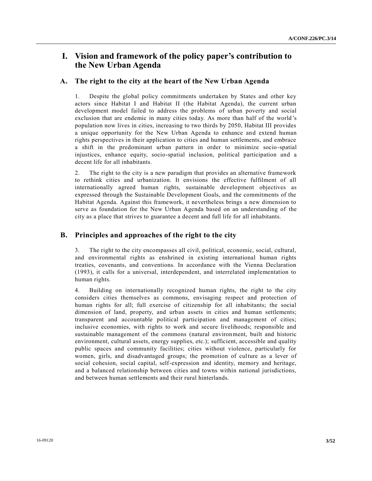# **I. Vision and framework of the policy paper's contribution to the New Urban Agenda**

## **A. The right to the city at the heart of the New Urban Agenda**

1. Despite the global policy commitments undertaken by States and other key actors since Habitat I and Habitat II (the Habitat Agenda), the current urban development model failed to address the problems of urban poverty and social exclusion that are endemic in many cities today. As more than half of the world 's population now lives in cities, increasing to two thirds by 2050, Habitat III provides a unique opportunity for the New Urban Agenda to enhance and extend human rights perspectives in their application to cities and human settlements, and embrace a shift in the predominant urban pattern in order to minimize socio-spatial injustices, enhance equity, socio-spatial inclusion, political participation and a decent life for all inhabitants.

2. The right to the city is a new paradigm that provides an alternative framework to rethink cities and urbanization. It envisions the effective fulfilment of all internationally agreed human rights, sustainable development objectives as expressed through the Sustainable Development Goals, and the commitments of the Habitat Agenda. Against this framework, it nevertheless brings a new dimension to serve as foundation for the New Urban Agenda based on an understanding of the city as a place that strives to guarantee a decent and full life for all inhabitants.

## **B. Principles and approaches of the right to the city**

3. The right to the city encompasses all civil, political, economic, social, cultural, and environmental rights as enshrined in existing international human rights treaties, covenants, and conventions. In accordance with the Vienna Declaration (1993), it calls for a universal, interdependent, and interrelated implementation to human rights.

4. Building on internationally recognized human rights, the right to the city considers cities themselves as commons, envisaging respect and protection of human rights for all; full exercise of citizenship for all inhabitants; the social dimension of land, property, and urban assets in cities and human settlements; transparent and accountable political participation and management of cities; inclusive economies, with rights to work and secure livelihoods; responsible and sustainable management of the commons (natural environment, built and historic environment, cultural assets, energy supplies, etc.); sufficient, accessible and quality public spaces and community facilities; cities without violence, particularly for women, girls, and disadvantaged groups; the promotion of culture as a lever of social cohesion, social capital, self-expression and identity, memory and heritage, and a balanced relationship between cities and towns within national jurisdictions, and between human settlements and their rural hinterlands.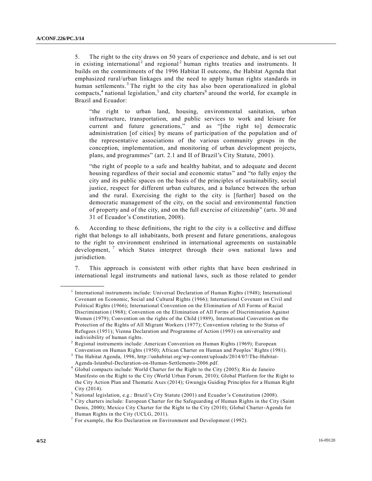**\_\_\_\_\_\_\_\_\_\_\_\_\_\_\_\_\_\_**

5. The right to the city draws on 50 years of experience and debate, and is set out in existing international<sup>1</sup> and regional<sup>2</sup> human rights treaties and instruments. It builds on the commitments of the 1996 Habitat II outcome, the Habitat Agenda that emphasized rural/urban linkages and the need to apply human rights standards in human settlements.<sup>3</sup> The right to the city has also been operationalized in global compacts,<sup>4</sup> national legislation,<sup>5</sup> and city charters<sup>6</sup> around the world, for example in Brazil and Ecuador:

"the right to urban land, housing, environmental sanitation, urban infrastructure, transportation, and public services to work and leisure for current and future generations," and as "[the right to] democratic administration [of cities] by means of participation of the population and of the representative associations of the various community groups in the conception, implementation, and monitoring of urban development projects, plans, and programmes" (art. 2.1 and II of Brazil's City Statute, 2001).

"the right of people to a safe and healthy habitat, and to adequate and decent housing regardless of their social and economic status" and "to fully enjoy the city and its public spaces on the basis of the principles of sustainability, social justice, respect for different urban cultures, and a balance between the urban and the rural. Exercising the right to the city is [further] based on the democratic management of the city, on the social and environmental function of property and of the city, and on the full exercise of citizenship" (arts. 30 and 31 of Ecuador's Constitution, 2008).

6. According to these definitions, the right to the city is a collective and diffuse right that belongs to all inhabitants, both present and future generations, analogous to the right to environment enshrined in international agreements on sustainable development, which States interpret through their own national laws and jurisdiction.

7. This approach is consistent with other rights that have been enshrined in international legal instruments and national laws, such as those related to gender

<sup>1</sup> International instruments include: Universal Declaration of Human Rights (1948); International Covenant on Economic, Social and Cultural Rights (1966); International Covenant on Civil and Political Rights (1966); International Convention on the Elimination of All Forms of Racial Discrimination (1968); Convention on the Elimination of All Forms of Discrimination Against Women (1979); Convention on the rights of the Child (1989), International Convention on the Protection of the Rights of All Migrant Workers (1977); Convention relating to the Status of Refugees (1951); Vienna Declaration and Programme of Action (1993) on universality and indivisibility of human rights.

 $2$  Regional instruments include: American Convention on Human Rights (1969); European Convention on Human Rights (1950); African Charter on Human and Peoples' Rights (1981).

<sup>&</sup>lt;sup>3</sup> The Habitat Agenda, 1996, http://unhabitat.org/wp-content/uploads/2014/07/The-Habitat-Agenda-Istanbul-Declaration-on-Human-Settlements-2006.pdf.

<sup>4</sup> Global compacts include: World Charter for the Right to the City (2005); Rio de Janeiro Manifesto on the Right to the City (World Urban Forum, 2010); Global Platform for the Right to the City Action Plan and Thematic Axes (2014); Gwangju Guiding Principles for a Human Right City (2014).

 $<sup>5</sup>$  National legislation, e.g.: Brazil's City Statute (2001) and Ecuador's Constitution (2008).</sup>

<sup>&</sup>lt;sup>6</sup> City charters include: European Charter for the Safeguarding of Human Rights in the City (Saint Denis, 2000); Mexico City Charter for the Right to the City (2010); Global Charter-Agenda for Human Rights in the City (UCLG, 2011).

 $<sup>7</sup>$  For example, the Rio Declaration on Environment and Development (1992).</sup>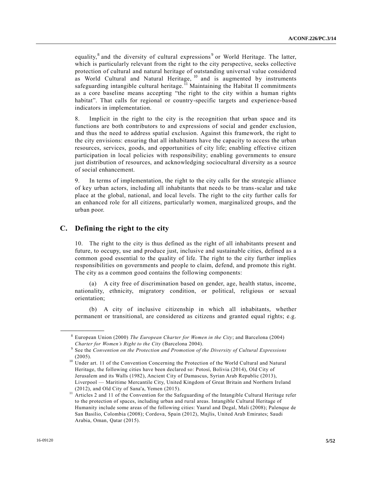equality,<sup>8</sup> and the diversity of cultural expressions<sup>9</sup> or World Heritage. The latter, which is particularly relevant from the right to the city perspective, seeks collective protection of cultural and natural heritage of outstanding universal value considered as World Cultural and Natural Heritage, <sup>10</sup> and is augmented by instruments safeguarding intangible cultural heritage.<sup> $I1$ </sup> Maintaining the Habitat II commitments as a core baseline means accepting "the right to the city within a human rights habitat". That calls for regional or country-specific targets and experience-based indicators in implementation.

8. Implicit in the right to the city is the recognition that urban space and its functions are both contributors to and expressions of social and gender exclusion, and thus the need to address spatial exclusion. Against this framework, the right to the city envisions: ensuring that all inhabitants have the capacity to access the urban resources, services, goods, and opportunities of city life; enabling effective citizen participation in local policies with responsibility; enabling governments to ensure just distribution of resources, and acknowledging sociocultural diversity as a source of social enhancement.

9. In terms of implementation, the right to the city calls for the strategic alliance of key urban actors, including all inhabitants that needs to be trans-scalar and take place at the global, national, and local levels. The right to the city further calls for an enhanced role for all citizens, particularly women, marginalized groups, and the urban poor.

## **C. Defining the right to the city**

**\_\_\_\_\_\_\_\_\_\_\_\_\_\_\_\_\_\_**

10. The right to the city is thus defined as the right of all inhabitants present and future, to occupy, use and produce just, inclusive and sustainable cities, defined as a common good essential to the quality of life. The right to the city further implies responsibilities on governments and people to claim, defend, and promote this right. The city as a common good contains the following components:

(a) A city free of discrimination based on gender, age, health status, income, nationality, ethnicity, migratory condition, or political, religious or sexual orientation;

(b) A city of inclusive citizenship in which all inhabitants, whether permanent or transitional, are considered as citizens and granted equal rights; e.g.

<sup>8</sup> European Union (2000) *The European Charter for Women in the City*; and Barcelona (2004) *Charter for Women's Right to the City* (Barcelona 2004).

<sup>9</sup> See the *Convention on the Protection and Promotion of the Diversity of Cultural Expressions* (2005).

<sup>&</sup>lt;sup>10</sup> Under art. 11 of the Convention Concerning the Protection of the World Cultural and Natural Heritage, the following cities have been declared so: Potosí, Bolivia (2014), Old City of Jerusalem and its Walls (1982), Ancient City of Damascus, Syrian Arab Republic (2013), Liverpool — Maritime Mercantile City, United Kingdom of Great Britain and Northern Ireland (2012), and Old City of Sana'a, Yemen (2015).

<sup>&</sup>lt;sup>11</sup> Articles 2 and 11 of the Convention for the Safeguarding of the Intangible Cultural Heritage refer to the protection of spaces, including urban and rural areas. Intangible Cultural Heritage of Humanity include some areas of the following cities: Yaaral and Degal, Mali (2008); Palenque de San Basilio, Colombia (2008); Cordova, Spain (2012), Majlis, United Arab Emirates; Saudi Arabia, Oman, Qatar (2015).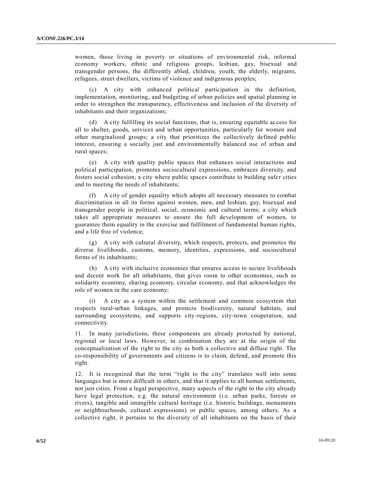women, those living in poverty or situations of environmental risk, informal economy workers, ethnic and religious groups, lesbian, gay, bisexual and transgender persons, the differently abled, children, youth, the elderly, migrants, refugees, street dwellers, victims of violence and indigenous peoples;

(c) A city with enhanced political participation in the definition, implementation, monitoring, and budgeting of urban policies and spatial planning in order to strengthen the transparency, effectiveness and inclusion of the diversity of inhabitants and their organizations;

(d) A city fulfilling its social functions, that is, ensuring equitable ac cess for all to shelter, goods, services and urban opportunities, particularly for women and other marginalized groups; a city that prioritizes the collectively defined public interest, ensuring a socially just and environmentally balanced use of urban and rural spaces;

(e) A city with quality public spaces that enhances social interactions and political participation, promotes sociocultural expressions, embraces diversity, and fosters social cohesion; a city where public spaces contribute to building safer cities and to meeting the needs of inhabitants;

(f) A city of gender equality which adopts all necessary measures to combat discrimination in all its forms against women, men, and lesbian, gay, bisexual and transgender people in political, social, economic and cultural terms; a city which takes all appropriate measures to ensure the full development of women, to guarantee them equality in the exercise and fulfilment of fundamental human rights, and a life free of violence;

(g) A city with cultural diversity, which respects, protects, and promotes the diverse livelihoods, customs, memory, identities, expressions, and sociocultural forms of its inhabitants;

(h) A city with inclusive economies that ensures access to secure livelihoods and decent work for all inhabitants, that gives room to other economies, such as solidarity economy, sharing economy, circular economy, and that acknowledges the role of women in the care economy;

(i) A city as a system within the settlement and common ecosystem that respects rural-urban linkages, and protects biodiversity, natural habitats, and surrounding ecosystems, and supports city-regions, city-town cooperation, and connectivity.

11. In many jurisdictions, these components are already protected by national, regional or local laws. However, in combination they are at the origin of the conceptualization of the right to the city as both a collective and diffuse right. The co-responsibility of governments and citizens is to claim, defend, and promote this right.

12. It is recognized that the term "right to the city" translates well into some languages but is more difficult in others, and that it applies to all human settlements, not just cities. From a legal perspective, many aspects of the right to the city already have legal protection, e.g. the natural environment (i.e. urban parks, forests or rivers), tangible and intangible cultural heritage (i.e. historic buildings, monuments or neighbourhoods, cultural expressions) or public spaces, among others. As a collective right, it pertains to the diversity of all inhabitants on the basis of their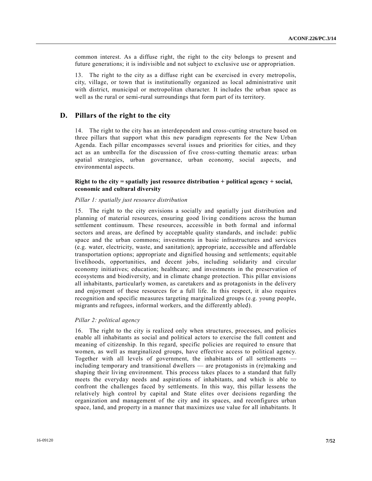common interest. As a diffuse right, the right to the city belongs to present and future generations; it is indivisible and not subject to exclusive use or appropriation.

13. The right to the city as a diffuse right can be exercised in every metropolis, city, village, or town that is institutionally organized as local administrative unit with district, municipal or metropolitan character. It includes the urban space as well as the rural or semi-rural surroundings that form part of its territory.

## **D. Pillars of the right to the city**

14. The right to the city has an interdependent and cross-cutting structure based on three pillars that support what this new paradigm represents for the New Urban Agenda. Each pillar encompasses several issues and priorities for cities, and they act as an umbrella for the discussion of five cross-cutting thematic areas: urban spatial strategies, urban governance, urban economy, social aspects, and environmental aspects.

### **Right to the city = spatially just resource distribution + political agency + social, economic and cultural diversity**

#### *Pillar 1: spatially just resource distribution*

15. The right to the city envisions a socially and spatially just distribution and planning of material resources, ensuring good living conditions across the human settlement continuum. These resources, accessible in both formal and informal sectors and areas, are defined by acceptable quality standards, and include: public space and the urban commons; investments in basic infrastructures and services (e.g. water, electricity, waste, and sanitation); appropriate, accessible and affordable transportation options; appropriate and dignified housing and settlements; equit able livelihoods, opportunities, and decent jobs, including solidarity and circular economy initiatives; education; healthcare; and investments in the preservation of ecosystems and biodiversity, and in climate change protection. This pillar envisions all inhabitants, particularly women, as caretakers and as protagonists in the delivery and enjoyment of these resources for a full life. In this respect, it also requires recognition and specific measures targeting marginalized groups (e.g. young people, migrants and refugees, informal workers, and the differently abled).

#### *Pillar 2: political agency*

16. The right to the city is realized only when structures, processes, and policies enable all inhabitants as social and political actors to exercise the full content and meaning of citizenship. In this regard, specific policies are required to ensure that women, as well as marginalized groups, have effective access to political agency. Together with all levels of government, the inhabitants of all settlements including temporary and transitional dwellers — are protagonists in (re)making and shaping their living environment. This process takes places to a standard that fully meets the everyday needs and aspirations of inhabitants, and which is able to confront the challenges faced by settlements. In this way, this pillar lessens the relatively high control by capital and State elites over decisions regarding the organization and management of the city and its spaces, and reconfigures urban space, land, and property in a manner that maximizes use value for all inhabitants. It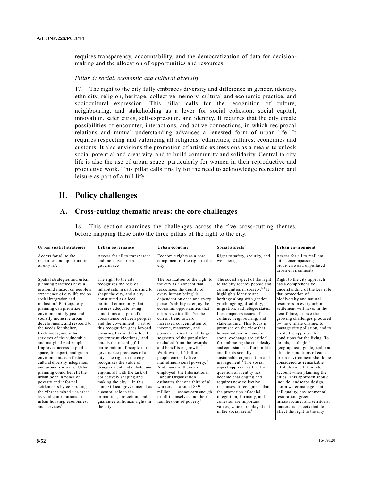requires transparency, accountability, and the democratization of data for decisionmaking and the allocation of opportunities and resources.

#### *Pillar 3: social, economic and cultural diversity*

17. The right to the city fully embraces diversity and difference in gender, identity, ethnicity, religion, heritage, collective memory, cultural and economic practice, and sociocultural expression. This pillar calls for the recognition of culture, neighbouring, and stakeholding as a lever for social cohesion, social capital, innovation, safer cities, self-expression, and identity. It requires that the city create possibilities of encounter, interactions, and active connections, in which reciprocal relations and mutual understanding advances a renewed form of urban life. It requires respecting and valorizing all religions, ethnicities, cultures, economies and customs. It also envisions the promotion of artistic expressions as a means to unlock social potential and creativity, and to build community and solidarity. Central to city life is also the use of urban space, particularly for women in their reproductive and productive work. This pillar calls finally for the need to acknowledge recreation and leisure as part of a full life.

# **II. Policy challenges**

## **A. Cross-cutting thematic areas: the core challenges**

18. This section examines the challenges across the five cross-cutting themes, before mapping these onto the three pillars of the right to the city.

| Access for all to the<br>Right to safety, security, and<br>Access for all to transparent<br>Economic rights as a core<br>Access for all to resilient<br>and inclusive urban<br>component of the right to the<br>resources and opportunities<br>well-being<br>cities encompassing<br>of city life<br>biodiverse and unpolluted<br>city<br>governance<br>urban environments<br>The right to the city<br>Spatial strategies and urban<br>The realization of the right to<br>The social aspect of the right<br>Right to the city approach<br>recognizes the role of<br>to the city locates people and<br>has a comprehensive<br>planning practices have a<br>the city as a concept that<br>inhabitants in participating to<br>communities in society. <sup>1, j</sup> It<br>profound impact on people's<br>recognizes the dignity of<br>experience of city life and on<br>shape the city, and a city<br>every human being <sup>e</sup> is<br>highlights identity and<br>that protection of<br>dependent on each and every<br>social integration and<br>constituted as a local<br>heritage along with gender,<br>biodiversity and natural<br>inclusion. <sup>a</sup> Participatory<br>person's ability to enjoy the<br>youth, ageing, disability,<br>political community that<br>resources in every urban<br>planning can prioritize<br>ensures adequate living<br>economic opportunities that<br>migration, and refugee status.<br>settlement will have, in the<br>environmentally just and<br>conditions and peaceful<br>cities have to offer. Yet the<br>It encompasses issues of<br>near future, to face the<br>coexistence between peoples<br>socially inclusive urban<br>current trend toward<br>culture, neighbouring, and<br>development, and respond to<br>and the government. Part of<br>increased concentration of<br>stakeholding. This focus is<br>by the climate change, to<br>this recognition goes beyond<br>the needs for shelter,<br>premised on the view that<br>income, resources, and<br>ensuring free and fair local<br>human interaction and/or<br>create the appropriate<br>livelihoods, and urban<br>power in cities has left large<br>services of the vulnerable<br>government elections, <sup>c</sup> and<br>segments of the population<br>social exchange are critical<br>entails the meaningful<br>excluded from the rewards<br>for embracing the complexity<br>do this, ecological,<br>and marginalized people.<br>and contestations of urban life<br>Improved access to public<br>participation of people in the<br>and benefits of growth. <sup>1</sup><br>Worldwide, 1.5 billion<br>and for its socially<br>climate conditions of each<br>space, transport, and green<br>governance processes of a<br>environments can foster<br>city. The right to the city<br>people currently live in<br>sustainable organization and<br>management. <sup>k</sup> The social<br>recognizes the value of<br>multidimensional poverty. <sup>8</sup><br>considered as remarkable<br>cultural diversity, integration,<br>and urban resilience. Urban<br>disagreement and debate, and<br>And many of them are<br>aspect appreciates that the<br>attributes and taken into<br>enioins all with the task of<br>employed: the International<br>question of identity has<br>planning could benefit the<br>account when planning the | Urban spatial strategies | Urban governance         | Urban economy       | <b>Social aspects</b>  | Urban environment                                                                                                                                                                                                                                                 |
|-------------------------------------------------------------------------------------------------------------------------------------------------------------------------------------------------------------------------------------------------------------------------------------------------------------------------------------------------------------------------------------------------------------------------------------------------------------------------------------------------------------------------------------------------------------------------------------------------------------------------------------------------------------------------------------------------------------------------------------------------------------------------------------------------------------------------------------------------------------------------------------------------------------------------------------------------------------------------------------------------------------------------------------------------------------------------------------------------------------------------------------------------------------------------------------------------------------------------------------------------------------------------------------------------------------------------------------------------------------------------------------------------------------------------------------------------------------------------------------------------------------------------------------------------------------------------------------------------------------------------------------------------------------------------------------------------------------------------------------------------------------------------------------------------------------------------------------------------------------------------------------------------------------------------------------------------------------------------------------------------------------------------------------------------------------------------------------------------------------------------------------------------------------------------------------------------------------------------------------------------------------------------------------------------------------------------------------------------------------------------------------------------------------------------------------------------------------------------------------------------------------------------------------------------------------------------------------------------------------------------------------------------------------------------------------------------------------------------------------------------------------------------------------------------------------------------------------------------------------------------------------------------------------------------------------------------------------------------------------------------------------------------------------------------------------------------------------------------------------------------------------------------------------------------------------------------------------------------------------------------------------------------------------------------------------------------------------------|--------------------------|--------------------------|---------------------|------------------------|-------------------------------------------------------------------------------------------------------------------------------------------------------------------------------------------------------------------------------------------------------------------|
|                                                                                                                                                                                                                                                                                                                                                                                                                                                                                                                                                                                                                                                                                                                                                                                                                                                                                                                                                                                                                                                                                                                                                                                                                                                                                                                                                                                                                                                                                                                                                                                                                                                                                                                                                                                                                                                                                                                                                                                                                                                                                                                                                                                                                                                                                                                                                                                                                                                                                                                                                                                                                                                                                                                                                                                                                                                                                                                                                                                                                                                                                                                                                                                                                                                                                                                                           |                          |                          |                     |                        |                                                                                                                                                                                                                                                                   |
| making the city. $d$ In this<br>estimates that one third of all<br>poverty and informal<br>requires new collective<br>include landscape design,<br>settlements by celebrating<br>context local government has<br>workers $-$ around 839<br>responses. It recognizes that<br>storm water management,<br>the vibrant mixed-use areas<br>a central role in the<br>million — cannot earn enough<br>the promotion of social<br>soil quality, environmental<br>as vital contributions to<br>to lift themselves and their<br>promotion, protection, and<br>integration, harmony, and<br>restoration, green<br>guarantee of human rights in<br>families out of poverty <sup>h</sup><br>cohesion are important<br>urban housing, economies,<br>and services <sup>b</sup><br>values, which are played out<br>matters as aspects that do<br>the city<br>in the social arena <sup>g</sup><br>affect the right to the city                                                                                                                                                                                                                                                                                                                                                                                                                                                                                                                                                                                                                                                                                                                                                                                                                                                                                                                                                                                                                                                                                                                                                                                                                                                                                                                                                                                                                                                                                                                                                                                                                                                                                                                                                                                                                                                                                                                                                                                                                                                                                                                                                                                                                                                                                                                                                                                                                             | urban poor in zones of   | collectively shaping and | Labour Organization | become challenging and | understanding of the key role<br>growing challenges produced<br>manage city pollution, and to<br>conditions for the living. To<br>geographical, geological, and<br>urban environment should be<br>cities. This approach should<br>infrastructure, and territorial |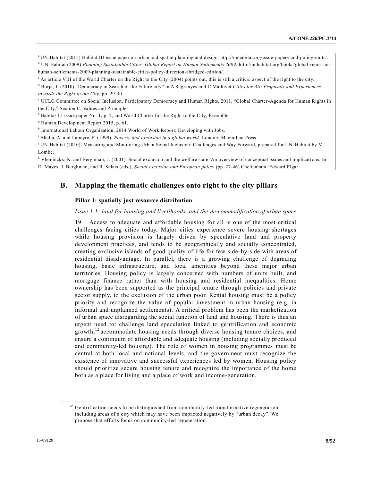UN-Habitat (2015) Habitat III issue paper on urban and spatial planning and design, http://unhabitat.org/issue-papers-and-policy-units/. <sup>b</sup> UN-Habitat (2009) *Planning Sustainable Cities: Global Report on Human Settlements 2009*, http://unhabitat.org/books/global-report-onhuman-settlements-2009-planning-sustainable-cities-policy-direction-abridged-edition/.

<sup>c</sup> As article VIII of the World Charter on the Right to the City (2004) points out, this is still a critical aspect of the right to the city. <sup>d</sup> Borja, J. (2010) "Democracy in Search of the Future city" in A Sugranyes and C Mathivet *Cities for All: Proposals and Experiences towards the Right to the City*, pp. 29-30.

<sup>e</sup> UCLG Committee on Social Inclusion, Participatory Democracy and Human Rights, 2011, "Global Charter-Agenda for Human Rights in the City," Section C, Values and Principles.

Habitat III issue paper No. 1, p. 2, and World Charter for the Right to the City, Preamble.

Human Development Report 2015, p. 61.

h International Labour Organization, 2014 World of Work Report: Developing with Jobs.

<sup>i</sup> Bhalla, A. and Lapeyre, F. (1999). *Poverty and exclusion in a global world*. London: Macmillan Press.

UN-Habitat (2010). Measuring and Monitoring Urban Social Inclusion: Challenges and Way Forward, prepared for UN-Habitat by M. Lombe.

<sup>k</sup> Vleminckx, K. and Berghman, J. (2001). Social exclusion and the welfare state: An overview of conceptual issues and implicati ons. In D. Mayes, J. Berghman, and R. Salais (eds.), *Social exclusion and European policy* (pp. 27-46) Cheltenham: Edward Elgar.

## **B. Mapping the thematic challenges onto right to the city pillars**

#### **Pillar 1: spatially just resource distribution**

### *Issue 1.1: land for housing and livelihoods, and the de-commodification of urban space*

19. Access to adequate and affordable housing for all is one of the most critical challenges facing cities today. Major cities experience severe housing shortages while housing provision is largely driven by speculative land and property development practices, and tends to be geographically and socially concentrated, creating exclusive islands of good quality of life for few side -by-side with areas of residential disadvantage. In parallel, there is a growing challenge of degrading housing, basic infrastructure, and local amenities beyond these major urban territories. Housing policy is largely concerned with numbers of units built, and mortgage finance rather than with housing and residential inequalities. Home ownership has been supported as the principal tenure through policies and private sector supply, to the exclusion of the urban poor. Rental housing must be a policy priority and recognize the value of popular investment in urban housing (e.g. in informal and unplanned settlements). A critical problem has been the marketization of urban space disregarding the social function of land and housing. There is thus an urgent need to: challenge land speculation linked to gentrification and economic growth,<sup>12</sup> accommodate housing needs through diverse housing tenure choices, and ensure a continuum of affordable and adequate housing (including socially produced and community-led housing). The role of women in housing programmes must be central at both local and national levels, and the government must recognize the existence of innovative and successful experiences led by women. Housing policy should prioritize secure housing tenure and recognize the importance of the home both as a place for living and a place of work and income-generation.

 $12$  Gentrification needs to be distinguished from community-led transformative regeneration, including areas of a city which may have been impacted negatively by "urban decay". We propose that efforts focus on community-led regeneration.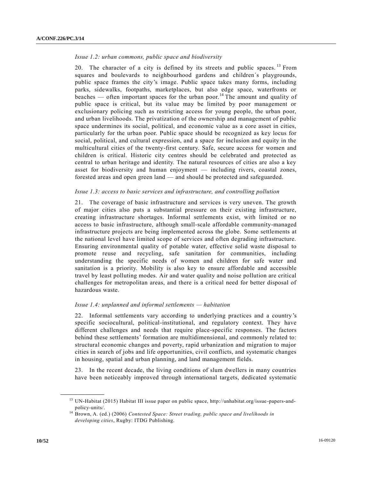#### *Issue 1.2: urban commons, public space and biodiversity*

20. The character of a city is defined by its streets and public spaces. <sup>13</sup> From squares and boulevards to neighbourhood gardens and children´s playgrounds, public space frames the city's image. Public space takes many forms, including parks, sidewalks, footpaths, marketplaces, but also edge space, waterfronts or beaches — often important spaces for the urban poor.<sup>14</sup> The amount and quality of public space is critical, but its value may be limited by poor management or exclusionary policing such as restricting access for young people, the urban poor, and urban livelihoods. The privatization of the ownership and management of public space undermines its social, political, and economic value as a core asset in cities, particularly for the urban poor. Public space should be recognized as key locus for social, political, and cultural expression, and a space for inclusion and equity in the multicultural cities of the twenty-first century. Safe, secure access for women and children is critical. Historic city centres should be celebrated and protected as central to urban heritage and identity. The natural resources of cities are also a key asset for biodiversity and human enjoyment — including rivers, coastal zones, forested areas and open green land — and should be protected and safeguarded.

#### *Issue 1.3: access to basic services and infrastructure, and controlling pollution*

21. The coverage of basic infrastructure and services is very uneven. The growth of major cities also puts a substantial pressure on their existing infrastructure, creating infrastructure shortages. Informal settlements exist, with limited or no access to basic infrastructure, although small-scale affordable community-managed infrastructure projects are being implemented across the globe. Some settlements at the national level have limited scope of services and often degrading infrastructure. Ensuring environmental quality of potable water, effective solid waste disposal to promote reuse and recycling, safe sanitation for communities, including understanding the specific needs of women and children for safe water and sanitation is a priority. Mobility is also key to ensure affordable and accessible travel by least polluting modes. Air and water quality and noise pollution are critical challenges for metropolitan areas, and there is a critical need for better disposal of hazardous waste.

#### *Issue 1.4: unplanned and informal settlements — habitation*

22. Informal settlements vary according to underlying practices and a country's specific sociocultural, political-institutional, and regulatory context. They have different challenges and needs that require place-specific responses. The factors behind these settlements' formation are multidimensional, and commonly related to: structural economic changes and poverty, rapid urbanization and migration to major cities in search of jobs and life opportunities, civil conflicts, and systematic changes in housing, spatial and urban planning, and land management fields.

23. In the recent decade, the living conditions of slum dwellers in many countries have been noticeably improved through international targets, dedicated systematic

<sup>&</sup>lt;sup>13</sup> UN-Habitat (2015) Habitat III issue paper on public space, http://unhabitat.org/issue-papers-andpolicy-units/.

<sup>&</sup>lt;sup>14</sup> Brown, A. (ed.) (2006) *Contested Space: Street trading, public space and livelihoods in developing cities*, Rugby: ITDG Publishing.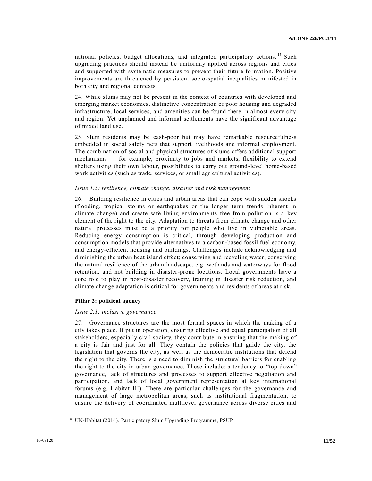national policies, budget allocations, and integrated participatory actions. <sup>15</sup> Such upgrading practices should instead be uniformly applied across regions and cities and supported with systematic measures to prevent their future formation. Positive improvements are threatened by persistent socio-spatial inequalities manifested in both city and regional contexts.

24. While slums may not be present in the context of countries with developed and emerging market economies, distinctive concentration of poor housing and degraded infrastructure, local services, and amenities can be found there in almost every city and region. Yet unplanned and informal settlements have the significant advantage of mixed land use.

25. Slum residents may be cash-poor but may have remarkable resourcefulness embedded in social safety nets that support livelihoods and informal employment. The combination of social and physical structures of slums offers additional support mechanisms — for example, proximity to jobs and markets, flexibility to extend shelters using their own labour, possibilities to carry out ground-level home-based work activities (such as trade, services, or small agricultural activities).

#### *Issue 1.5: resilience, climate change, disaster and risk management*

26. Building resilience in cities and urban areas that can cope with sudden shocks (flooding, tropical storms or earthquakes or the longer term trends inherent in climate change) and create safe living environments free from pollution is a key element of the right to the city. Adaptation to threats from climate change and other natural processes must be a priority for people who live in vulnerable areas. Reducing energy consumption is critical, through developing production and consumption models that provide alternatives to a carbon-based fossil fuel economy, and energy-efficient housing and buildings. Challenges include acknowledging and diminishing the urban heat island effect; conserving and recycling water; conserving the natural resilience of the urban landscape, e.g. wetlands and waterways for flood retention, and not building in disaster-prone locations. Local governments have a core role to play in post-disaster recovery, training in disaster risk reduction, and climate change adaptation is critical for governments and residents of areas at risk.

#### **Pillar 2: political agency**

#### *Issue 2.1: inclusive governance*

27. Governance structures are the most formal spaces in which the making of a city takes place. If put in operation, ensuring effective and equal participation of all stakeholders, especially civil society, they contribute in ensuring that the making of a city is fair and just for all. They contain the policies that guide the city, the legislation that governs the city, as well as the democratic institutions that defend the right to the city. There is a need to diminish the structural barriers for enabling the right to the city in urban governance. These include: a tendency to "top-down" governance, lack of structures and processes to support effective negotiation and participation, and lack of local government representation at key international forums (e.g. Habitat III). There are particular challenges for the governance and management of large metropolitan areas, such as institutional fragmentation, to ensure the delivery of coordinated multilevel governance across diverse cities and

<sup>&</sup>lt;sup>15</sup> UN-Habitat (2014). Participatory Slum Upgrading Programme, PSUP.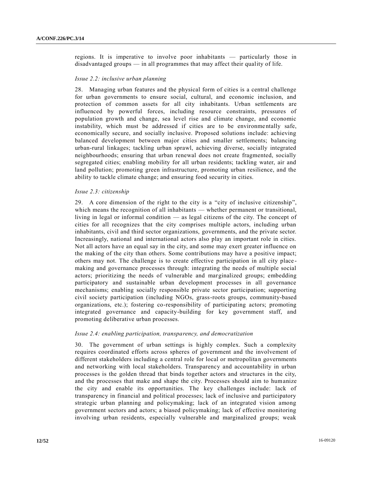regions. It is imperative to involve poor inhabitants — particularly those in disadvantaged groups — in all programmes that may affect their quality of life.

#### *Issue 2.2: inclusive urban planning*

28. Managing urban features and the physical form of cities is a central challenge for urban governments to ensure social, cultural, and economic inclusion, and protection of common assets for all city inhabitants. Urban settlements are influenced by powerful forces, including resource constraints, pressures of population growth and change, sea level rise and climate change, and economic instability, which must be addressed if cities are to be environmentally safe, economically secure, and socially inclusive. Proposed solutions include: achieving balanced development between major cities and smaller settlements; balancing urban-rural linkages; tackling urban sprawl, achieving diverse, socially integrated neighbourhoods; ensuring that urban renewal does not create fragmented, socially segregated cities; enabling mobility for all urban residents; tackling water, air and land pollution; promoting green infrastructure, promoting urban resilience, and the ability to tackle climate change; and ensuring food security in cities.

#### *Issue 2.3: citizenship*

29. A core dimension of the right to the city is a "city of inclusive citizenship", which means the recognition of all inhabitants — whether permanent or transitional, living in legal or informal condition — as legal citizens of the city. The concept of cities for all recognizes that the city comprises multiple actors, including urban inhabitants, civil and third sector organizations, governments, and the private sector. Increasingly, national and international actors also play an important role in cities. Not all actors have an equal say in the city, and some may exert greater influence on the making of the city than others. Some contributions may have a positive impact; others may not. The challenge is to create effective participation in all city place making and governance processes through: integrating the needs of multiple social actors; prioritizing the needs of vulnerable and marginalized groups; embedding participatory and sustainable urban development processes in all governance mechanisms; enabling socially responsible private sector participation; supporting civil society participation (including NGOs, grass-roots groups, community-based organizations, etc.); fostering co-responsibility of participating actors; promoting integrated governance and capacity-building for key government staff, and promoting deliberative urban processes.

#### *Issue 2.4: enabling participation, transparency, and democratization*

30. The government of urban settings is highly complex. Such a complexity requires coordinated efforts across spheres of government and the involvement of different stakeholders including a central role for local or metropolitan governments and networking with local stakeholders. Transparency and accountability in urban processes is the golden thread that binds together actors and structures in the city, and the processes that make and shape the city. Processes should aim to humanize the city and enable its opportunities. The key challenges include: lack of transparency in financial and political processes; lack of inclusive and participatory strategic urban planning and policymaking; lack of an integrated vision among government sectors and actors; a biased policymaking; lack of effective monitoring involving urban residents, especially vulnerable and marginalized groups; weak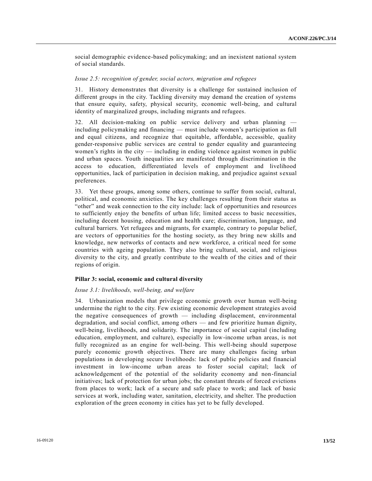social demographic evidence-based policymaking; and an inexistent national system of social standards.

#### *Issue 2.5: recognition of gender, social actors, migration and refugees*

31. History demonstrates that diversity is a challenge for sustained inclusion of different groups in the city. Tackling diversity may demand the creation of systems that ensure equity, safety, physical security, economic well-being, and cultural identity of marginalized groups, including migrants and refugees.

32. All decision-making on public service delivery and urban planning including policymaking and financing — must include women's participation as full and equal citizens, and recognize that equitable, affordable, accessible, quality gender-responsive public services are central to gender equality and guaranteeing women's rights in the city — including in ending violence against women in public and urban spaces. Youth inequalities are manifested through discrimination in the access to education, differentiated levels of employment and livelihood opportunities, lack of participation in decision making, and prejudice against s exual preferences.

33. Yet these groups, among some others, continue to suffer from social, cultural, political, and economic anxieties. The key challenges resulting from their status as "other" and weak connection to the city include: lack of opportunities and resources to sufficiently enjoy the benefits of urban life; limited access to basic necessities, including decent housing, education and health care; discrimination, language, and cultural barriers. Yet refugees and migrants, for example, contrary to popular belief, are vectors of opportunities for the hosting society, as they bring new skills and knowledge, new networks of contacts and new workforce, a critical need for some countries with ageing population. They also bring cultural, social, and religious diversity to the city, and greatly contribute to the wealth of the cities and of their regions of origin.

#### **Pillar 3: social, economic and cultural diversity**

#### *Issue 3.1: livelihoods, well-being, and welfare*

34. Urbanization models that privilege economic growth over human well-being undermine the right to the city. Few existing economic development strategies avoid the negative consequences of growth — including displacement, environmental degradation, and social conflict, among others — and few prioritize human dignity, well-being, livelihoods, and solidarity. The importance of social capital (including education, employment, and culture), especially in low-income urban areas, is not fully recognized as an engine for well-being. This well-being should superpose purely economic growth objectives. There are many challenges facing urban populations in developing secure livelihoods: lack of public policies and financial investment in low-income urban areas to foster social capital; lack of acknowledgement of the potential of the solidarity economy and non-financial initiatives; lack of protection for urban jobs; the constant threats of forced evictions from places to work; lack of a secure and safe place to work; and lack of basic services at work, including water, sanitation, electricity, and shelter. The production exploration of the green economy in cities has yet to be fully developed.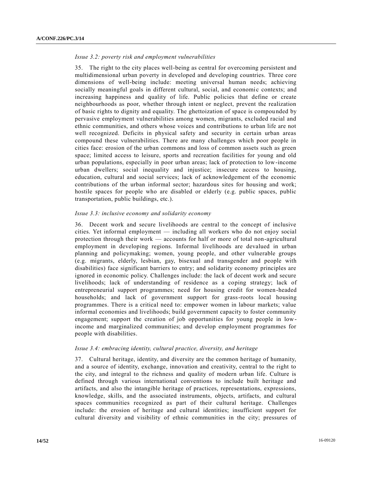### *Issue 3.2: poverty risk and employment vulnerabilities*

35. The right to the city places well-being as central for overcoming persistent and multidimensional urban poverty in developed and developing countries. Three core dimensions of well-being include: meeting universal human needs; achieving socially meaningful goals in different cultural, social, and economic contexts; and increasing happiness and quality of life. Public policies that define or create neighbourhoods as poor, whether through intent or neglect, prevent the realization of basic rights to dignity and equality. The ghettoization of space is compounded by pervasive employment vulnerabilities among women, migrants, excluded racial and ethnic communities, and others whose voices and contributions to urban life are not well recognized. Deficits in physical safety and security in certain urban areas compound these vulnerabilities. There are many challenges which poor people in cities face: erosion of the urban commons and loss of common assets such as green space; limited access to leisure, sports and recreation facilities for young and old urban populations, especially in poor urban areas; lack of protection to low-income urban dwellers; social inequality and injustice; insecure access to housing, education, cultural and social services; lack of acknowledgement of the economic contributions of the urban informal sector; hazardous sites for housing and work; hostile spaces for people who are disabled or elderly (e.g. public spaces, public transportation, public buildings, etc.).

#### *Issue 3.3: inclusive economy and solidarity economy*

36. Decent work and secure livelihoods are central to the concept of inclusive cities. Yet informal employment — including all workers who do not enjoy social protection through their work — accounts for half or more of total non-agricultural employment in developing regions. Informal livelihoods are devalued in urban planning and policymaking; women, young people, and other vulnerable groups (e.g. migrants, elderly, lesbian, gay, bisexual and transgender and people with disabilities) face significant barriers to entry; and solidarity economy principles are ignored in economic policy. Challenges include: the lack of decent work and secure livelihoods; lack of understanding of residence as a coping strategy; lack of entrepreneurial support programmes; need for housing credit for women -headed households; and lack of government support for grass-roots local housing programmes. There is a critical need to: empower women in labour markets; value informal economies and livelihoods; build government capacity to foster community engagement; support the creation of job opportunities for young people in lowincome and marginalized communities; and develop employment programmes for people with disabilities.

#### *Issue 3.4: embracing identity, cultural practice, diversity, and heritage*

37. Cultural heritage, identity, and diversity are the common heritage of humanity, and a source of identity, exchange, innovation and creativity, central to the right to the city, and integral to the richness and quality of modern urban life. Culture is defined through various international conventions to include built heritage and artifacts, and also the intangible heritage of practices, representations, expressions, knowledge, skills, and the associated instruments, objects, artifacts, and cultural spaces communities recognized as part of their cultural heritage. Challenges include: the erosion of heritage and cultural identities; insufficient support for cultural diversity and visibility of ethnic communities in the city; pressures of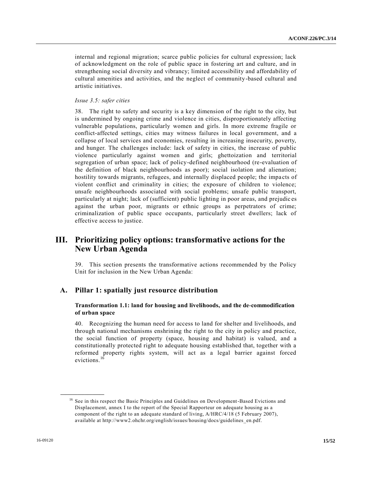internal and regional migration; scarce public policies for cultural expression; lack of acknowledgment on the role of public space in fostering art and culture, and in strengthening social diversity and vibrancy; limited accessibility and affordability of cultural amenities and activities, and the neglect of community-based cultural and artistic initiatives.

#### *Issue 3.5: safer cities*

38. The right to safety and security is a key dimension of the right to the city, but is undermined by ongoing crime and violence in cities, disproportionately affecting vulnerable populations, particularly women and girls. In more extreme fragile or conflict-affected settings, cities may witness failures in local government, and a collapse of local services and economies, resulting in increasing insecurity, poverty, and hunger. The challenges include: lack of safety in cities, the increase of public violence particularly against women and girls; ghettoization and territorial segregation of urban space; lack of policy-defined neighbourhood (re-evaluation of the definition of black neighbourhoods as poor); social isolation and alienation; hostility towards migrants, refugees, and internally displaced people; the impacts of violent conflict and criminality in cities; the exposure of children to violence; unsafe neighbourhoods associated with social problems; unsafe public transport, particularly at night; lack of (sufficient) public lighting in poor areas, and prejudic es against the urban poor, migrants or ethnic groups as perpetrators of crime; criminalization of public space occupants, particularly street dwellers; lack of effective access to justice.

# **III. Prioritizing policy options: transformative actions for the New Urban Agenda**

39. This section presents the transformative actions recommended by the Policy Unit for inclusion in the New Urban Agenda:

## **A. Pillar 1: spatially just resource distribution**

### **Transformation 1.1: land for housing and livelihoods, and the de-commodification of urban space**

40. Recognizing the human need for access to land for shelter and livelihoods, and through national mechanisms enshrining the right to the city in policy and practice, the social function of property (space, housing and habitat) is valued, and a constitutionally protected right to adequate housing established that, together with a reformed property rights system, will act as a legal barrier against forced evictions.<sup>16</sup>

<sup>16</sup> See in this respect the Basic Principles and Guidelines on Development-Based Evictions and Displacement, annex I to the report of the Special Rapporteur on adequate housing as a component of the right to an adequate standard of living, A/HRC/4/18 (5 February 2007), available at http://www2.ohchr.org/english/issues/housing/docs/guidelines\_en.pdf.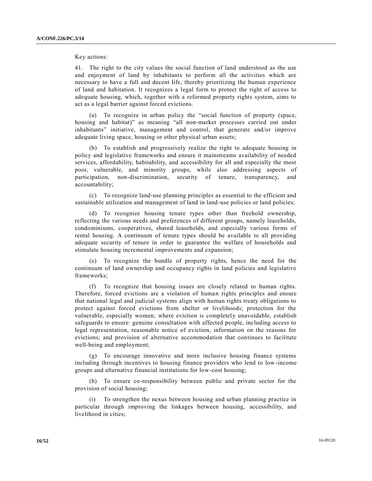Key actions:

41. The right to the city values the social function of land understood as the use and enjoyment of land by inhabitants to perform all the activities which are necessary to have a full and decent life, thereby prioritizing the human experience of land and habitation. It recognizes a legal form to protect the right of access to adequate housing, which, together with a reformed property rights system, aims to act as a legal barrier against forced evictions.

(a) To recognize in urban policy the "social function of property (space, housing and habitat)" as meaning "all non-market processes carried out under inhabitants" initiative, management and control, that generate and/or improve adequate living space, housing or other physical urban assets;

(b) To establish and progressively realize the right to adequate housing in policy and legislative frameworks and ensure it mainstreams availability of needed services, affordability, habitability, and accessibility for all and especially the most poor, vulnerable, and minority groups, while also addressing aspects of participation, non-discrimination, security of tenure, transparency, and accountability;

(c) To recognize land-use planning principles as essential to the efficient and sustainable utilization and management of land in land-use policies or land policies;

(d) To recognize housing tenure types other than freehold ownership, reflecting the various needs and preferences of different groups, namely leaseholds, condominiums, cooperatives, shared leaseholds, and especially various forms of rental housing. A continuum of tenure types should be available to all providing adequate security of tenure in order to guarantee the welfare of households and stimulate housing incremental improvements and expansion;

To recognize the bundle of property rights, hence the need for the continuum of land ownership and occupancy rights in land policies and legislative frameworks;

(f) To recognize that housing issues are closely related to human rights. Therefore, forced evictions are a violation of human rights principles and ensure that national legal and judicial systems align with human rights treaty obligations to protect against forced evictions from shelter or livelihoods; protection for the vulnerable, especially women; where eviction is completely unavoidable, establish safeguards to ensure: genuine consultation with affected people, including access to legal representation, reasonable notice of eviction, information on the reasons for evictions; and provision of alternative accommodation that continues to facilitate well-being and employment;

(g) To encourage innovative and more inclusive housing finance systems including through incentives to housing finance providers who lend to low-income groups and alternative financial institutions for low-cost housing;

(h) To ensure co-responsibility between public and private sector for the provision of social housing;

(i) To strengthen the nexus between housing and urban planning practice in particular through improving the linkages between housing, accessibility, and livelihood in cities;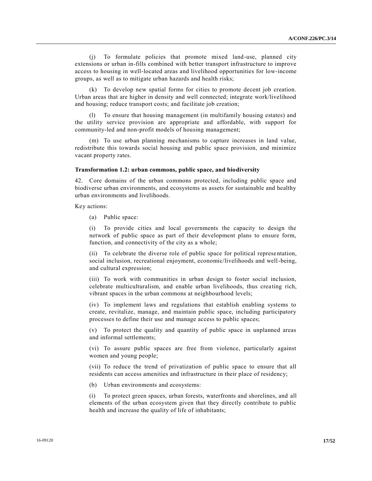(j) To formulate policies that promote mixed land-use, planned city extensions or urban in-fills combined with better transport infrastructure to improve access to housing in well-located areas and livelihood opportunities for low-income groups, as well as to mitigate urban hazards and health risks;

(k) To develop new spatial forms for cities to promote decent job creation. Urban areas that are higher in density and well connected; integrate work/livelihood and housing; reduce transport costs; and facilitate job creation;

To ensure that housing management (in multifamily housing estates) and the utility service provision are appropriate and affordable, with support for community-led and non-profit models of housing management;

(m) To use urban planning mechanisms to capture increases in land value, redistribute this towards social housing and public space provision, and minimize vacant property rates.

#### **Transformation 1.2: urban commons, public space, and biodiversity**

42. Core domains of the urban commons protected, including public space and biodiverse urban environments, and ecosystems as assets for sustainable and healthy urban environments and livelihoods.

Key actions:

(a) Public space:

(i) To provide cities and local governments the capacity to design the network of public space as part of their development plans to ensure form, function, and connectivity of the city as a whole;

(ii) To celebrate the diverse role of public space for political representation, social inclusion, recreational enjoyment, economic/livelihoods and well-being, and cultural expression;

(iii) To work with communities in urban design to foster social inclusion, celebrate multiculturalism, and enable urban livelihoods, thus crea ting rich, vibrant spaces in the urban commons at neighbourhood levels;

(iv) To implement laws and regulations that establish enabling systems to create, revitalize, manage, and maintain public space, including participatory processes to define their use and manage access to public spaces;

(v) To protect the quality and quantity of public space in unplanned areas and informal settlements;

(vi) To assure public spaces are free from violence, particularly against women and young people;

(vii) To reduce the trend of privatization of public space to ensure that all residents can access amenities and infrastructure in their place of residency;

(b) Urban environments and ecosystems:

(i) To protect green spaces, urban forests, waterfronts and shorelines, and all elements of the urban ecosystem given that they directly contribute to public health and increase the quality of life of inhabitants;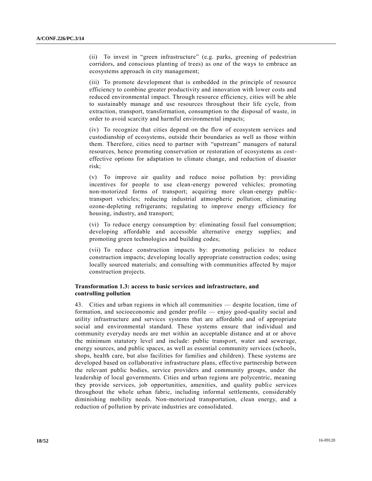(ii) To invest in "green infrastructure" (e.g. parks, greening of pedestrian corridors, and conscious planting of trees) as one of the ways to embrace an ecosystems approach in city management;

(iii) To promote development that is embedded in the principle of resource efficiency to combine greater productivity and innovation with lower costs and reduced environmental impact. Through resource efficiency, cities will be able to sustainably manage and use resources throughout their life cycle, from extraction, transport, transformation, consumption to the disposal of waste, in order to avoid scarcity and harmful environmental impacts;

(iv) To recognize that cities depend on the flow of ecosystem services and custodianship of ecosystems, outside their boundaries as well as those within them. Therefore, cities need to partner with "upstream" managers of natural resources, hence promoting conservation or restoration of ecosystems as costeffective options for adaptation to climate change, and reduction of disaster risk;

(v) To improve air quality and reduce noise pollution by: providing incentives for people to use clean-energy powered vehicles; promoting non-motorized forms of transport; acquiring more clean-energy publictransport vehicles; reducing industrial atmospheric pollution; eliminating ozone-depleting refrigerants; regulating to improve energy efficiency for housing, industry, and transport;

(vi) To reduce energy consumption by: eliminating fossil fuel consumption; developing affordable and accessible alternative energy supplies; and promoting green technologies and building codes;

(vii) To reduce construction impacts by: promoting policies to reduce construction impacts; developing locally appropriate construction codes; using locally sourced materials; and consulting with communities affected by major construction projects.

### **Transformation 1.3: access to basic services and infrastructure, and controlling pollution**

43. Cities and urban regions in which all communities — despite location, time of formation, and socioeconomic and gender profile — enjoy good-quality social and utility infrastructure and services systems that are affordable and of appropriate social and environmental standard. These systems ensure that individual and community everyday needs are met within an acceptable distance and at or above the minimum statutory level and include: public transport, water and sewerage, energy sources, and public spaces, as well as essential community services (schools, shops, health care, but also facilities for families and children). These systems are developed based on collaborative infrastructure plans, effective partnership between the relevant public bodies, service providers and community groups, under the leadership of local governments. Cities and urban regions are polycentric, meaning they provide services, job opportunities, amenities, and quality public services throughout the whole urban fabric, including informal settlements, considerably diminishing mobility needs. Non-motorized transportation, clean energy, and a reduction of pollution by private industries are consolidated.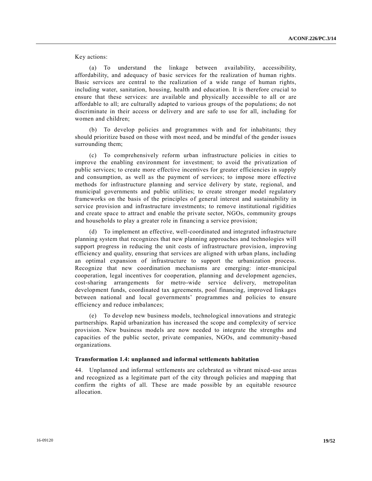Key actions:

(a) To understand the linkage between availability, accessibility, affordability, and adequacy of basic services for the realization of human rights. Basic services are central to the realization of a wide range of human rights, including water, sanitation, housing, health and education. It is therefore crucial to ensure that these services: are available and physically accessible to all or are affordable to all; are culturally adapted to various groups of the populations; do not discriminate in their access or delivery and are safe to use for all, including for women and children;

(b) To develop policies and programmes with and for inhabitants; they should prioritize based on those with most need, and be mindful of the gender issues surrounding them;

(c) To comprehensively reform urban infrastructure policies in cities to improve the enabling environment for investment; to avoid the privatization of public services; to create more effective incentives for greater efficiencies in supply and consumption, as well as the payment of services; to impose more effective methods for infrastructure planning and service delivery by state, regional, and municipal governments and public utilities; to create stronger model regulatory frameworks on the basis of the principles of general interest and sustainability in service provision and infrastructure investments; to remove institutional rigidities and create space to attract and enable the private sector, NGOs, community groups and households to play a greater role in financing a service provision;

(d) To implement an effective, well-coordinated and integrated infrastructure planning system that recognizes that new planning approaches and technologies will support progress in reducing the unit costs of infrastructure provision, improving efficiency and quality, ensuring that services are aligned with urban plans, including an optimal expansion of infrastructure to support the urbanization process. Recognize that new coordination mechanisms are emerging: inter-municipal cooperation, legal incentives for cooperation, planning and development agencies, cost-sharing arrangements for metro-wide service delivery, metropolitan development funds, coordinated tax agreements, pool financing, improved linkages between national and local governments' programmes and policies to ensure efficiency and reduce imbalances;

(e) To develop new business models, technological innovations and strategic partnerships. Rapid urbanization has increased the scope and complexity of service provision. New business models are now needed to integrate the strengths and capacities of the public sector, private companies, NGOs, and community-based organizations.

#### **Transformation 1.4: unplanned and informal settlements habitation**

44. Unplanned and informal settlements are celebrated as vibrant mixed-use areas and recognized as a legitimate part of the city through policies and mapping that confirm the rights of all. These are made possible by an equitable resource allocation.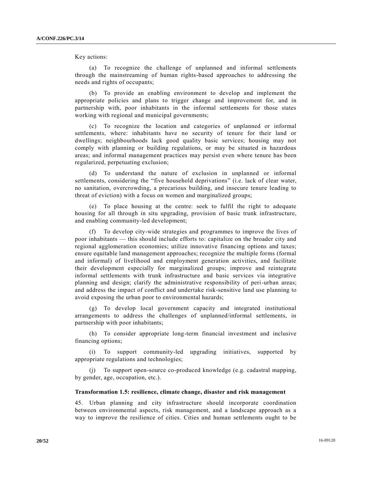Key actions:

(a) To recognize the challenge of unplanned and informal settlements through the mainstreaming of human rights-based approaches to addressing the needs and rights of occupants;

(b) To provide an enabling environment to develop and implement the appropriate policies and plans to trigger change and improvement for, and in partnership with, poor inhabitants in the informal settlements for those states working with regional and municipal governments;

To recognize the location and categories of unplanned or informal settlements, where: inhabitants have no security of tenure for their land or dwellings; neighbourhoods lack good quality basic services; housing may not comply with planning or building regulations, or may be situated in hazardous areas; and informal management practices may persist even where tenure has been regularized, perpetuating exclusion;

(d) To understand the nature of exclusion in unplanned or informal settlements, considering the "five household deprivations" (i.e. lack of clear water, no sanitation, overcrowding, a precarious building, and insecure tenure leading to threat of eviction) with a focus on women and marginalized groups;

(e) To place housing at the centre: seek to fulfil the right to adequate housing for all through in situ upgrading, provision of basic trunk infrastructure, and enabling community-led development;

(f) To develop city-wide strategies and programmes to improve the lives of poor inhabitants — this should include efforts to: capitalize on the broader city and regional agglomeration economies; utilize innovative financing options and taxes; ensure equitable land management approaches; recognize the multiple forms (formal and informal) of livelihood and employment generation activities, and facilitate their development especially for marginalized groups; improve and reintegrate informal settlements with trunk infrastructure and basic services via integrative planning and design; clarify the administrative responsibility of peri-urban areas; and address the impact of conflict and undertake risk-sensitive land use planning to avoid exposing the urban poor to environmental hazards;

(g) To develop local government capacity and integrated institutional arrangements to address the challenges of unplanned/informal settlements, in partnership with poor inhabitants;

(h) To consider appropriate long-term financial investment and inclusive financing options;

(i) To support community-led upgrading initiatives, supported by appropriate regulations and technologies;

(j) To support open-source co-produced knowledge (e.g. cadastral mapping, by gender, age, occupation, etc.).

#### **Transformation 1.5: resilience, climate change, disaster and risk management**

45. Urban planning and city infrastructure should incorporate coordination between environmental aspects, risk management, and a landscape approach as a way to improve the resilience of cities. Cities and human settlements ought to be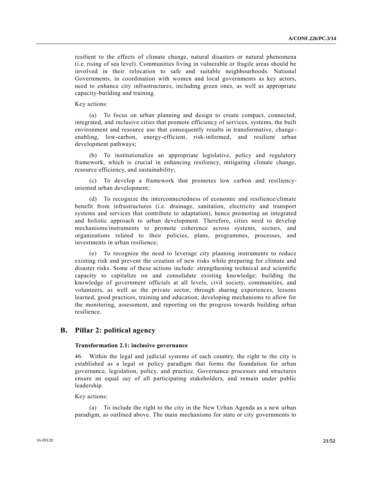resilient to the effects of climate change, natural disasters or natural phenomena (i.e. rising of sea level). Communities living in vulnerable or fragile areas should be involved in their relocation to safe and suitable neighbourhoods. National Governments, in coordination with women and local governments as key actors, need to enhance city infrastructures, including green ones, as well as appropriate capacity-building and training.

### Key actions:

(a) To focus on urban planning and design to create compact, connected, integrated, and inclusive cities that promote efficiency of services, systems, the built environment and resource use that consequently results in transformative, change enabling, low-carbon, energy-efficient, risk-informed, and resilient urban development pathways;

(b) To institutionalize an appropriate legislative, policy and regulatory framework, which is crucial in enhancing resiliency, mitigating climate change, resource efficiency, and sustainability;

(c) To develop a framework that promotes low carbon and resiliencyoriented urban development;

(d) To recognize the interconnectedness of economic and resilience/climate benefit from infrastructures (i.e. drainage, sanitation, electricity and transport systems and services that contribute to adaptation), hence promoting an integrated and holistic approach to urban development. Therefore, cities need to develop mechanisms/instruments to promote coherence across systems, sectors, and organizations related to their policies, plans, programmes, processes, and investments in urban resilience;

(e) To recognize the need to leverage city planning instruments to reduce existing risk and prevent the creation of new risks while preparing for climate and disaster risks. Some of these actions include: strengthening technical and scientific capacity to capitalize on and consolidate existing knowledge; building the knowledge of government officials at all levels, civil society, communities, and volunteers, as well as the private sector, through sharing experiences, lessons learned, good practices, training and education; developing mechanisms to allow for the monitoring, assessment, and reporting on the progress towards building urban resilience.

### **B. Pillar 2: political agency**

### **Transformation 2.1: inclusive governance**

46. Within the legal and judicial systems of each country, the right to the city is established as a legal or policy paradigm that forms the foundation for urban governance, legislation, policy, and practice. Governance processes and structures ensure an equal say of all participating stakeholders, and remain under public leadership.

Key actions:

(a) To include the right to the city in the New Urban Agenda as a new urban paradigm, as outlined above. The main mechanisms for state or city governments to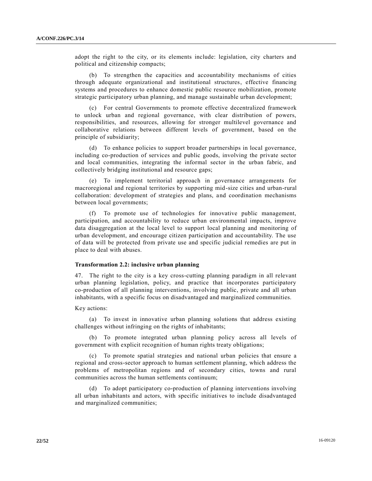adopt the right to the city, or its elements include: legislation, city charters and political and citizenship compacts;

(b) To strengthen the capacities and accountability mechanisms of cities through adequate organizational and institutional structures, effective financing systems and procedures to enhance domestic public resource mobilization, promote strategic participatory urban planning, and manage sustainable urban development;

(c) For central Governments to promote effective decentralized framework to unlock urban and regional governance, with clear distribution of powers, responsibilities, and resources, allowing for stronger multilevel governance and collaborative relations between different levels of government, based on the principle of subsidiarity;

(d) To enhance policies to support broader partnerships in local governance, including co-production of services and public goods, involving the private sector and local communities, integrating the informal sector in the urban fabric, and collectively bridging institutional and resource gaps;

(e) To implement territorial approach in governance arrangements for macroregional and regional territories by supporting mid-size cities and urban-rural collaboration: development of strategies and plans, and coordination mechanisms between local governments;

(f) To promote use of technologies for innovative public management, participation, and accountability to reduce urban environmental impacts, improve data disaggregation at the local level to support local planning and monitoring of urban development, and encourage citizen participation and accountability. The use of data will be protected from private use and specific judicial remedies are put in place to deal with abuses.

#### **Transformation 2.2: inclusive urban planning**

47. The right to the city is a key cross-cutting planning paradigm in all relevant urban planning legislation, policy, and practice that incorporates participatory co-production of all planning interventions, involving public, private and all urban inhabitants, with a specific focus on disadvantaged and marginalized communities.

Key actions:

(a) To invest in innovative urban planning solutions that address existing challenges without infringing on the rights of inhabitants;

(b) To promote integrated urban planning policy across all levels of government with explicit recognition of human rights treaty obligations;

(c) To promote spatial strategies and national urban policies that ensure a regional and cross-sector approach to human settlement planning, which address the problems of metropolitan regions and of secondary cities, towns and rural communities across the human settlements continuum;

(d) To adopt participatory co-production of planning interventions involving all urban inhabitants and actors, with specific initiatives to include disadvantaged and marginalized communities;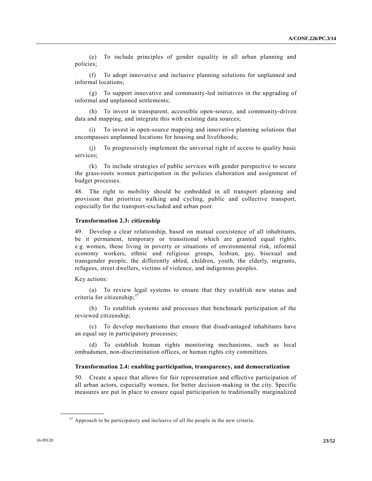(e) To include principles of gender equality in all urban planning and policies;

(f) To adopt innovative and inclusive planning solutions for unplanned and informal locations;

(g) To support innovative and community-led initiatives in the upgrading of informal and unplanned settlements;

(h) To invest in transparent, accessible open-source, and community-driven data and mapping, and integrate this with existing data sources;

To invest in open-source mapping and innovative planning solutions that encompasses unplanned locations for housing and livelihoods;

(j) To progressively implement the universal right of access to quality basic services;

(k) To include strategies of public services with gender perspective to secure the grass-roots women participation in the policies elaboration and assignment of budget processes.

48. The right to mobility should be embedded in all transport planning and provision that prioritize walking and cycling, public and collective transport, especially for the transport-excluded and urban poor.

#### **Transformation 2.3: citizenship**

49. Develop a clear relationship, based on mutual coexistence of all inhabitants, be it permanent, temporary or transitional which are granted equal rights, e.g. women, those living in poverty or situations of environmental risk, informal economy workers, ethnic and religious groups, lesbian, gay, bisexual and transgender people, the differently abled, children, youth, the elderly, migrants, refugees, street dwellers, victims of violence, and indigenous peoples.

#### Key actions:

**\_\_\_\_\_\_\_\_\_\_\_\_\_\_\_\_\_\_**

(a) To review legal systems to ensure that they establish new status and criteria for citizenship; $17$ 

(b) To establish systems and processes that benchmark participation of the reviewed citizenship;

(c) To develop mechanisms that ensure that disadvantaged inhabitants have an equal say in participatory processes;

(d) To establish human rights monitoring mechanisms, such as local ombudsmen, non-discrimination offices, or human rights city committees.

#### **Transformation 2.4: enabling participation, transparency, and democratization**

50. Create a space that allows for fair representation and effective participation of all urban actors, especially women, for better decision-making in the city. Specific measures are put in place to ensure equal participation to traditionally marginalized

 $17$  Approach to be participatory and inclusive of all the people in the new criteria.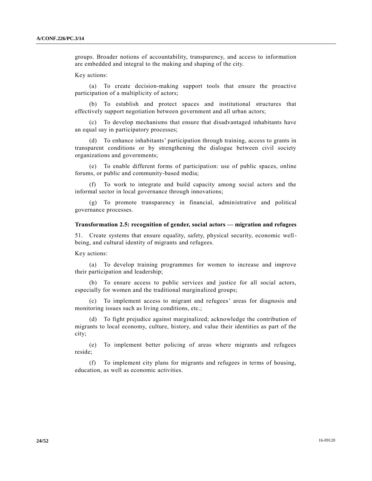groups. Broader notions of accountability, transparency, and access to information are embedded and integral to the making and shaping of the city.

Key actions:

(a) To create decision-making support tools that ensure the proactive participation of a multiplicity of actors;

(b) To establish and protect spaces and institutional structures that effectively support negotiation between government and all urban actors;

(c) To develop mechanisms that ensure that disadvantaged inhabitants have an equal say in participatory processes;

(d) To enhance inhabitants' participation through training, access to grants in transparent conditions or by strengthening the dialogue between civil society organizations and governments;

(e) To enable different forms of participation: use of public spaces, online forums, or public and community-based media;

(f) To work to integrate and build capacity among social actors and the informal sector in local governance through innovations;

(g) To promote transparency in financial, administrative and political governance processes.

#### **Transformation 2.5: recognition of gender, social actors — migration and refugees**

51. Create systems that ensure equality, safety, physical security, economic wellbeing, and cultural identity of migrants and refugees.

Key actions:

(a) To develop training programmes for women to increase and improve their participation and leadership;

(b) To ensure access to public services and justice for all social actors, especially for women and the traditional marginalized groups;

(c) To implement access to migrant and refugees' areas for diagnosis and monitoring issues such as living conditions, etc.;

(d) To fight prejudice against marginalized; acknowledge the contribution of migrants to local economy, culture, history, and value their identities as part of the city;

(e) To implement better policing of areas where migrants and refugees reside;

(f) To implement city plans for migrants and refugees in terms of housing, education, as well as economic activities.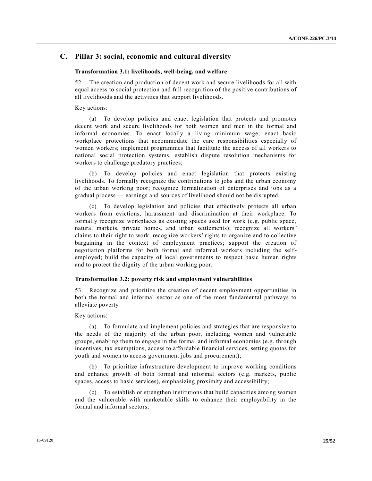# **C. Pillar 3: social, economic and cultural diversity**

#### **Transformation 3.1: livelihoods, well-being, and welfare**

52. The creation and production of decent work and secure livelihoods for all with equal access to social protection and full recognition of the positive contributions of all livelihoods and the activities that support livelihoods.

#### Key actions:

(a) To develop policies and enact legislation that protects and promotes decent work and secure livelihoods for both women and men in the formal and informal economies. To enact locally a living minimum wage; enact basic workplace protections that accommodate the care responsibilities especially of women workers; implement programmes that facilitate the access of all workers to national social protection systems; establish dispute resolution mechanisms for workers to challenge predatory practices;

(b) To develop policies and enact legislation that protects existing livelihoods. To formally recognize the contributions to jobs and the urban economy of the urban working poor; recognize formalization of enterprises and jobs as a gradual process — earnings and sources of livelihood should not be disrupted;

(c) To develop legislation and policies that effectively protects all urban workers from evictions, harassment and discrimination at their workplace. To formally recognize workplaces as existing spaces used for work (e.g. public space, natural markets, private homes, and urban settlements); recognize all workers' claims to their right to work; recognize workers' rights to organize and to collective bargaining in the context of employment practices; support the creation of negotiation platforms for both formal and informal workers including the selfemployed; build the capacity of local governments to respect basic human rights and to protect the dignity of the urban working poor.

#### **Transformation 3.2: poverty risk and employment vulnerabilities**

53. Recognize and prioritize the creation of decent employment opportunities in both the formal and informal sector as one of the most fundamental pathways to alleviate poverty.

#### Key actions:

(a) To formulate and implement policies and strategies that are responsive to the needs of the majority of the urban poor, including women and vulnerable groups, enabling them to engage in the formal and informal economies (e.g. through incentives, tax exemptions, access to affordable financial services, setting quotas for youth and women to access government jobs and procurement);

(b) To prioritize infrastructure development to improve working conditions and enhance growth of both formal and informal sectors (e.g. markets, public spaces, access to basic services), emphasizing proximity and accessibility;

(c) To establish or strengthen institutions that build capacities amo ng women and the vulnerable with marketable skills to enhance their employability in the formal and informal sectors;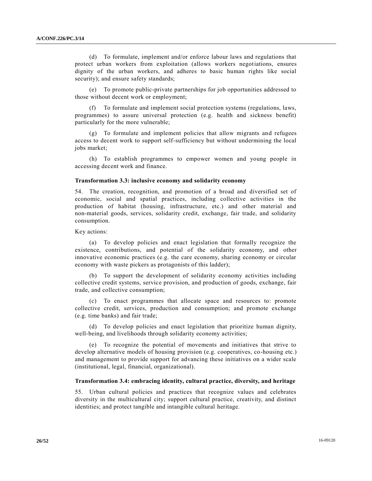(d) To formulate, implement and/or enforce labour laws and regulations that protect urban workers from exploitation (allows workers negotiations, ensures dignity of the urban workers, and adheres to basic human rights like social security); and ensure safety standards;

(e) To promote public-private partnerships for job opportunities addressed to those without decent work or employment;

(f) To formulate and implement social protection systems (regulations, laws, programmes) to assure universal protection (e.g. health and sickness benefit) particularly for the more vulnerable;

(g) To formulate and implement policies that allow migrants and refugees access to decent work to support self-sufficiency but without undermining the local jobs market;

(h) To establish programmes to empower women and young people in accessing decent work and finance.

#### **Transformation 3.3: inclusive economy and solidarity economy**

54. The creation, recognition, and promotion of a broad and diversified set of economic, social and spatial practices, including collective activities in the production of habitat (housing, infrastructure, etc.) and other material and non-material goods, services, solidarity credit, exchange, fair trade, and solidarity consumption.

Key actions:

(a) To develop policies and enact legislation that formally recognize the existence, contributions, and potential of the solidarity economy, and other innovative economic practices (e.g. the care economy, sharing economy or circular economy with waste pickers as protagonists of this ladder);

(b) To support the development of solidarity economy activities including collective credit systems, service provision, and production of goods, exchange, fair trade, and collective consumption;

(c) To enact programmes that allocate space and resources to: promote collective credit, services, production and consumption; and promote exchange (e.g. time banks) and fair trade;

(d) To develop policies and enact legislation that prioritize human dignity, well-being, and livelihoods through solidarity economy activities;

(e) To recognize the potential of movements and initiatives that strive to develop alternative models of housing provision (e.g. cooperatives, co-housing etc.) and management to provide support for advancing these initiatives on a wider scale (institutional, legal, financial, organizational).

#### **Transformation 3.4: embracing identity, cultural practice, diversity, and heritage**

55. Urban cultural policies and practices that recognize values and celebrates diversity in the multicultural city; support cultural practice, creativity, and distinct identities; and protect tangible and intangible cultural heritage.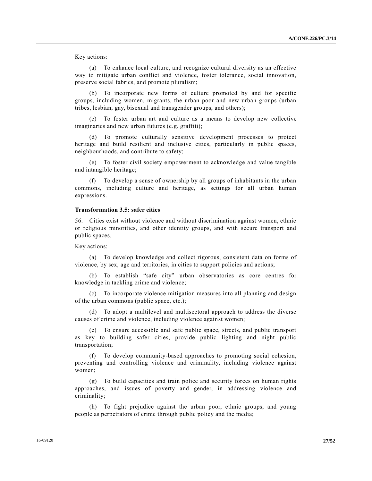Key actions:

(a) To enhance local culture, and recognize cultural diversity as an effective way to mitigate urban conflict and violence, foster tolerance, social innovation, preserve social fabrics, and promote pluralism;

(b) To incorporate new forms of culture promoted by and for specific groups, including women, migrants, the urban poor and new urban groups (urban tribes, lesbian, gay, bisexual and transgender groups, and others);

(c) To foster urban art and culture as a means to develop new collective imaginaries and new urban futures (e.g. graffiti);

(d) To promote culturally sensitive development processes to protect heritage and build resilient and inclusive cities, particularly in public spaces, neighbourhoods, and contribute to safety;

(e) To foster civil society empowerment to acknowledge and value tangible and intangible heritage;

(f) To develop a sense of ownership by all groups of inhabitants in the urban commons, including culture and heritage, as settings for all urban human expressions.

#### **Transformation 3.5: safer cities**

56. Cities exist without violence and without discrimination against women, ethnic or religious minorities, and other identity groups, and with secure transport and public spaces.

Key actions:

(a) To develop knowledge and collect rigorous, consistent data on forms of violence, by sex, age and territories, in cities to support policies and actions;

(b) To establish "safe city" urban observatories as core centres for knowledge in tackling crime and violence;

(c) To incorporate violence mitigation measures into all planning and design of the urban commons (public space, etc.);

(d) To adopt a multilevel and multisectoral approach to address the diverse causes of crime and violence, including violence against women;

(e) To ensure accessible and safe public space, streets, and public transport as key to building safer cities, provide public lighting and night public transportation;

(f) To develop community-based approaches to promoting social cohesion, preventing and controlling violence and criminality, including violence against women;

(g) To build capacities and train police and security forces on human rights approaches, and issues of poverty and gender, in addressing violence and criminality;

(h) To fight prejudice against the urban poor, ethnic groups, and young people as perpetrators of crime through public policy and the media;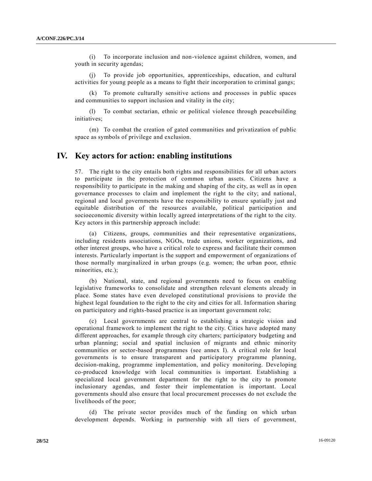(i) To incorporate inclusion and non-violence against children, women, and youth in security agendas;

(j) To provide job opportunities, apprenticeships, education, and cultural activities for young people as a means to fight their incorporation to criminal gangs;

(k) To promote culturally sensitive actions and processes in public spaces and communities to support inclusion and vitality in the city;

(l) To combat sectarian, ethnic or political violence through peacebuilding initiatives;

(m) To combat the creation of gated communities and privatization of public space as symbols of privilege and exclusion.

## **IV. Key actors for action: enabling institutions**

57. The right to the city entails both rights and responsibilities for all urban actors to participate in the protection of common urban assets. Citizens have a responsibility to participate in the making and shaping of the city, as well as in open governance processes to claim and implement the right to the city; and national, regional and local governments have the responsibility to ensure spatially just and equitable distribution of the resources available, political participation and socioeconomic diversity within locally agreed interpretations of the right to the city. Key actors in this partnership approach include:

(a) Citizens, groups, communities and their representative organizations, including residents associations, NGOs, trade unions, worker organizations, and other interest groups, who have a critical role to express and facilitate their common interests. Particularly important is the support and empowerment of organizations of those normally marginalized in urban groups (e.g. women; the urban poor, ethnic minorities, etc.);

(b) National, state, and regional governments need to focus on enabling legislative frameworks to consolidate and strengthen relevant elements already in place. Some states have even developed constitutional provisions to provide the highest legal foundation to the right to the city and cities for all. Information sharing on participatory and rights-based practice is an important government role;

(c) Local governments are central to establishing a strategic vision and operational framework to implement the right to the city. Cities have adopted many different approaches, for example through city charters; participatory budgeting and urban planning; social and spatial inclusion of migrants and ethnic minority communities or sector-based programmes (see annex I). A critical role for local governments is to ensure transparent and participatory programme planning, decision-making, programme implementation, and policy monitoring. Developing co-produced knowledge with local communities is important. Establishing a specialized local government department for the right to the city to promote inclusionary agendas, and foster their implementation is important. Local governments should also ensure that local procurement processes do not exclude the livelihoods of the poor;

(d) The private sector provides much of the funding on which urban development depends. Working in partnership with all tiers of government,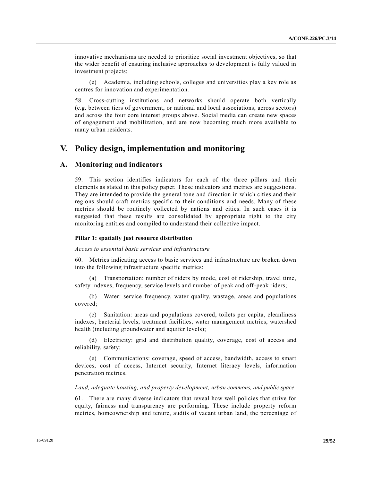innovative mechanisms are needed to prioritize social investment objectives, so that the wider benefit of ensuring inclusive approaches to development is fully valued in investment projects;

(e) Academia, including schools, colleges and universities play a key role as centres for innovation and experimentation.

58. Cross-cutting institutions and networks should operate both vertically (e.g. between tiers of government, or national and local associations, across sectors) and across the four core interest groups above. Social media can create new spaces of engagement and mobilization, and are now becoming much more available to many urban residents.

# **V. Policy design, implementation and monitoring**

### **A. Monitoring and indicators**

59. This section identifies indicators for each of the three pillars and their elements as stated in this policy paper. These indicators and metrics are suggestions. They are intended to provide the general tone and direction in which cities and their regions should craft metrics specific to their conditions and needs. Many of these metrics should be routinely collected by nations and cities. In such cases it is suggested that these results are consolidated by appropriate right to the city monitoring entities and compiled to understand their collective impact.

### **Pillar 1: spatially just resource distribution**

#### *Access to essential basic services and infrastructure*

60. Metrics indicating access to basic services and infrastructure are broken down into the following infrastructure specific metrics:

(a) Transportation: number of riders by mode, cost of ridership, travel time, safety indexes, frequency, service levels and number of peak and off-peak riders;

(b) Water: service frequency, water quality, wastage, areas and populations covered;

(c) Sanitation: areas and populations covered, toilets per capita, cleanliness indexes, bacterial levels, treatment facilities, water management metrics, watershed health (including groundwater and aquifer levels);

(d) Electricity: grid and distribution quality, coverage, cost of access and reliability, safety;

(e) Communications: coverage, speed of access, bandwidth, access to smart devices, cost of access, Internet security, Internet literacy levels, information penetration metrics.

#### *Land, adequate housing, and property development, urban commons, and public space*

61. There are many diverse indicators that reveal how well policies that strive for equity, fairness and transparency are performing. These include property reform metrics, homeownership and tenure, audits of vacant urban land, the percentage of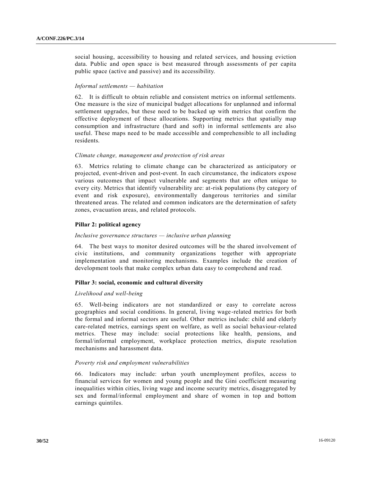social housing, accessibility to housing and related services, and housing eviction data. Public and open space is best measured through assessments of per capita public space (active and passive) and its accessibility.

#### *Informal settlements — habitation*

62. It is difficult to obtain reliable and consistent metrics on informal settlements. One measure is the size of municipal budget allocations for unplanned and informal settlement upgrades, but these need to be backed up with metrics that confirm the effective deployment of these allocations. Supporting metrics that spatially map consumption and infrastructure (hard and soft) in informal settlements are also useful. These maps need to be made accessible and comprehensible to all including residents.

#### *Climate change, management and protection of risk areas*

63. Metrics relating to climate change can be characterized as anticipatory or projected, event-driven and post-event. In each circumstance, the indicators expose various outcomes that impact vulnerable and segments that are often unique to every city. Metrics that identify vulnerability are: at-risk populations (by category of event and risk exposure), environmentally dangerous territories and similar threatened areas. The related and common indicators are the determination of safety zones, evacuation areas, and related protocols.

#### **Pillar 2: political agency**

#### *Inclusive governance structures — inclusive urban planning*

64. The best ways to monitor desired outcomes will be the shared involvement of civic institutions, and community organizations together with appropriate implementation and monitoring mechanisms. Examples include the creation of development tools that make complex urban data easy to comprehend and read.

#### **Pillar 3: social, economic and cultural diversity**

#### *Livelihood and well-being*

65. Well-being indicators are not standardized or easy to correlate across geographies and social conditions. In general, living wage -related metrics for both the formal and informal sectors are useful. Other metrics include: child and elderly care-related metrics, earnings spent on welfare, as well as social behaviour-related metrics. These may include: social protections like health, pensions, and formal/informal employment, workplace protection metrics, dispute resolution mechanisms and harassment data.

#### *Poverty risk and employment vulnerabilities*

66. Indicators may include: urban youth unemployment profiles, access to financial services for women and young people and the Gini coefficient measuring inequalities within cities, living wage and income security metrics, disaggregated by sex and formal/informal employment and share of women in top and bottom earnings quintiles.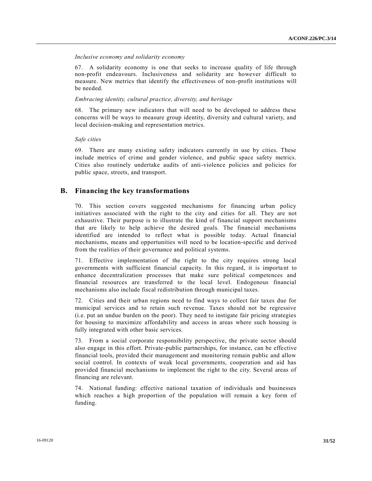### *Inclusive economy and solidarity economy*

67. A solidarity economy is one that seeks to increase quality of life through non-profit endeavours. Inclusiveness and solidarity are however difficult to measure. New metrics that identify the effectiveness of non-profit institutions will be needed.

#### *Embracing identity, cultural practice, diversity, and heritage*

68. The primary new indicators that will need to be developed to address these concerns will be ways to measure group identity, diversity and cultural variety, and local decision-making and representation metrics.

### *Safe cities*

69. There are many existing safety indicators currently in use by cities. These include metrics of crime and gender violence, and public space safety metrics. Cities also routinely undertake audits of anti-violence policies and policies for public space, streets, and transport.

## **B. Financing the key transformations**

70. This section covers suggested mechanisms for financing urban policy initiatives associated with the right to the city and cities for all. They are not exhaustive. Their purpose is to illustrate the kind of financial support mechanisms that are likely to help achieve the desired goals. The financial mechanisms identified are intended to reflect what is possible today. Actual financial mechanisms, means and opportunities will need to be location-specific and derived from the realities of their governance and political systems.

71. Effective implementation of the right to the city requires strong local governments with sufficient financial capacity. In this regard, it is importa nt to enhance decentralization processes that make sure political competences and financial resources are transferred to the local level. Endogenous financial mechanisms also include fiscal redistribution through municipal taxes.

72. Cities and their urban regions need to find ways to collect fair taxes due for municipal services and to retain such revenue. Taxes should not be regressive (i.e. put an undue burden on the poor). They need to instigate fair pricing strategies for housing to maximize affordability and access in areas where such housing is fully integrated with other basic services.

73. From a social corporate responsibility perspective, the private sector should also engage in this effort. Private-public partnerships, for instance, can be effective financial tools, provided their management and monitoring remain public and allow social control. In contexts of weak local governments, cooperation and aid has provided financial mechanisms to implement the right to the city. Several areas of financing are relevant.

74. National funding: effective national taxation of individuals and businesses which reaches a high proportion of the population will remain a key form of funding.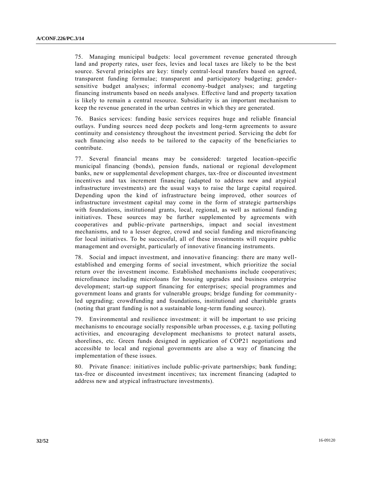75. Managing municipal budgets: local government revenue generated through land and property rates, user fees, levies and local taxes are likely to be the best source. Several principles are key: timely central-local transfers based on agreed, transparent funding formulae; transparent and participatory budgeting; gendersensitive budget analyses; informal economy-budget analyses; and targeting financing instruments based on needs analyses. Effective land and property taxation is likely to remain a central resource. Subsidiarity is an important mechanism to keep the revenue generated in the urban centres in which they are generated.

76. Basics services: funding basic services requires huge and reliable financial outlays. Funding sources need deep pockets and long-term agreements to assure continuity and consistency throughout the investment period. Servicing the debt for such financing also needs to be tailored to the capacity of the beneficiaries to contribute.

77. Several financial means may be considered: targeted location-specific municipal financing (bonds), pension funds, national or regional development banks, new or supplemental development charges, tax-free or discounted investment incentives and tax increment financing (adapted to address new and atypical infrastructure investments) are the usual ways to raise the large capital required. Depending upon the kind of infrastructure being improved, other sources of infrastructure investment capital may come in the form of strategic partnerships with foundations, institutional grants, local, regional, as well as national funding initiatives. These sources may be further supplemented by agreements with cooperatives and public-private partnerships, impact and social investment mechanisms, and to a lesser degree, crowd and social funding and microfinancing for local initiatives. To be successful, all of these investments will require public management and oversight, particularly of innovative financing instruments.

78. Social and impact investment, and innovative financing: there are many wellestablished and emerging forms of social investment, which prioritize the social return over the investment income. Established mechanisms include cooperatives; microfinance including microloans for housing upgrades and business enterprise development; start-up support financing for enterprises; special programmes and government loans and grants for vulnerable groups; bridge funding for community led upgrading; crowdfunding and foundations, institutional and charitable grants (noting that grant funding is not a sustainable long-term funding source).

79. Environmental and resilience investment: it will be important to use pricing mechanisms to encourage socially responsible urban processes, e.g. taxing polluting activities, and encouraging development mechanisms to protect natural assets, shorelines, etc. Green funds designed in application of COP21 negotiations and accessible to local and regional governments are also a way of financing the implementation of these issues.

80. Private finance: initiatives include public-private partnerships; bank funding; tax-free or discounted investment incentives; tax increment financing (adapted to address new and atypical infrastructure investments).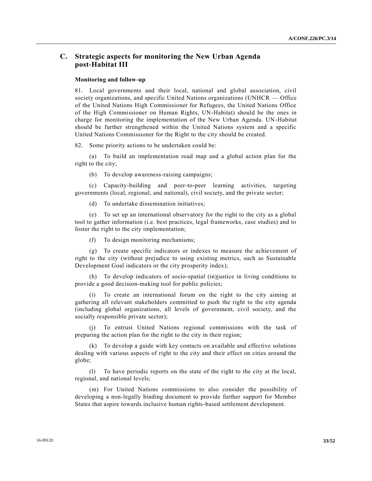# **C. Strategic aspects for monitoring the New Urban Agenda post-Habitat III**

#### **Monitoring and follow-up**

81. Local governments and their local, national and global association, civil society organizations, and specific United Nations organizations (UNHCR — Office of the United Nations High Commissioner for Refugees, the United Nations Office of the High Commissioner on Human Rights, UN-Habitat) should be the ones in charge for monitoring the implementation of the New Urban Agenda. UN-Habitat should be further strengthened within the United Nations system and a specific United Nations Commissioner for the Right to the city should be created.

82. Some priority actions to be undertaken could be:

(a) To build an implementation road map and a global action plan for the right to the city;

(b) To develop awareness-raising campaigns;

(c) Capacity-building and peer-to-peer learning activities, targeting governments (local, regional, and national), civil society, and the private sector;

(d) To undertake dissemination initiatives;

(e) To set up an international observatory for the right to the city as a global tool to gather information (i.e. best practices, legal frameworks, case studies) and to foster the right to the city implementation;

(f) To design monitoring mechanisms;

(g) To create specific indicators or indexes to measure the achievement of right to the city (without prejudice to using existing metrics, such as Sustainable Development Goal indicators or the city prosperity index);

(h) To develop indicators of socio-spatial (in)justice in living conditions to provide a good decision-making tool for public policies;

To create an international forum on the right to the city aiming at gathering all relevant stakeholders committed to push the right to the city agenda (including global organizations, all levels of government, civil society, and the socially responsible private sector);

(j) To entrust United Nations regional commissions with the task of preparing the action plan for the right to the city in their region;

(k) To develop a guide with key contacts on available and effective solutions dealing with various aspects of right to the city and their effect on cities around the globe;

(l) To have periodic reports on the state of the right to the city at the local, regional, and national levels;

(m) For United Nations commissions to also consider the possibility of developing a non-legally binding document to provide further support for Member States that aspire towards inclusive human rights-based settlement development.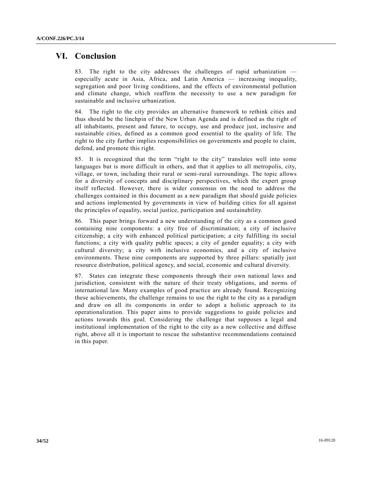# **VI. Conclusion**

83. The right to the city addresses the challenges of rapid urbanization especially acute in Asia, Africa, and Latin America — increasing inequality, segregation and poor living conditions, and the effects of environmental pollution and climate change, which reaffirm the necessity to use a new paradigm for sustainable and inclusive urbanization.

84. The right to the city provides an alternative framework to rethink cities and thus should be the linchpin of the New Urban Agenda and is defined as the right of all inhabitants, present and future, to occupy, use and produce just, inclusive and sustainable cities, defined as a common good essential to the quality of life. The right to the city further implies responsibilities on governments and people to claim, defend, and promote this right.

85. It is recognized that the term "right to the city" translates well into some languages but is more difficult in others, and that it applies to all metropolis, city, village, or town, including their rural or semi-rural surroundings. The topic allows for a diversity of concepts and disciplinary perspectives, which the expert group itself reflected. However, there is wider consensus on the need to address the challenges contained in this document as a new paradigm that should guide policies and actions implemented by governments in view of building cities for all against the principles of equality, social justice, participation and sustainability.

86. This paper brings forward a new understanding of the city as a common good containing nine components: a city free of discrimination; a city of inclusive citizenship; a city with enhanced political participation; a city fulfilling its social functions; a city with quality public spaces; a city of gender equality; a city with cultural diversity; a city with inclusive economies, and a city of inclusive environments. These nine components are supported by three pillars: spatially just resource distribution, political agency, and social, economic and cultural diversity.

87. States can integrate these components through their own national laws and jurisdiction, consistent with the nature of their treaty obligations, and norms of international law. Many examples of good practice are already found. Recognizing these achievements, the challenge remains to use the right to the city as a paradigm and draw on all its components in order to adopt a holistic approach to its operationalization. This paper aims to provide suggestions to guide policies and actions towards this goal. Considering the challenge that supposes a legal and institutional implementation of the right to the city as a new collective and diffuse right, above all it is important to rescue the substantive recommendations contained in this paper.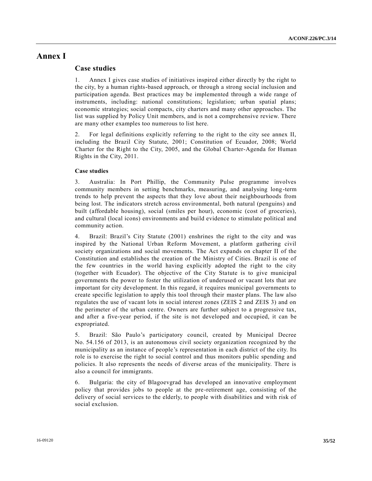# **Annex I**

## **Case studies**

1. Annex I gives case studies of initiatives inspired either directly by the right to the city, by a human rights-based approach, or through a strong social inclusion and participation agenda. Best practices may be implemented through a wide range of instruments, including: national constitutions; legislation; urban spatial plans; economic strategies; social compacts, city charters and many other approaches. The list was supplied by Policy Unit members, and is not a comprehensive review. There are many other examples too numerous to list here.

2. For legal definitions explicitly referring to the right to the city see annex II, including the Brazil City Statute, 2001; Constitution of Ecuador, 2008; World Charter for the Right to the City, 2005, and the Global Charter-Agenda for Human Rights in the City, 2011.

### **Case studies**

3. Australia: In Port Phillip, the Community Pulse programme involves community members in setting benchmarks, measuring, and analysing long -term trends to help prevent the aspects that they love about their neighbourhoods from being lost. The indicators stretch across environmental, both natural (penguins) and built (affordable housing), social (smiles per hour), economic (cost of groceries), and cultural (local icons) environments and build evidence to stimulate political and community action.

4. Brazil: Brazil's City Statute (2001) enshrines the right to the city and was inspired by the National Urban Reform Movement, a platform gathering civil society organizations and social movements. The Act expands on chapter II of the Constitution and establishes the creation of the Ministry of Cities. Brazil is one of the few countries in the world having explicitly adopted the right to the city (together with Ecuador). The objective of the City Statute is to give municipal governments the power to foster the utilization of underused or vacant lots that are important for city development. In this regard, it requires municipal governments to create specific legislation to apply this tool through their master plans. The law also regulates the use of vacant lots in social interest zones (ZEIS 2 and ZEIS 3) and on the perimeter of the urban centre. Owners are further subject to a progressive tax, and after a five-year period, if the site is not developed and occupied, it can be expropriated.

5. Brazil: São Paulo's participatory council, created by Municipal Decree No. 54.156 of 2013, is an autonomous civil society organization recognized by the municipality as an instance of people's representation in each district of the city. Its role is to exercise the right to social control and thus monitors public spending and policies. It also represents the needs of diverse areas of the municipality. There is also a council for immigrants.

6. Bulgaria: the city of Blagoevgrad has developed an innovative employment policy that provides jobs to people at the pre-retirement age, consisting of the delivery of social services to the elderly, to people with disabilities and with risk of social exclusion.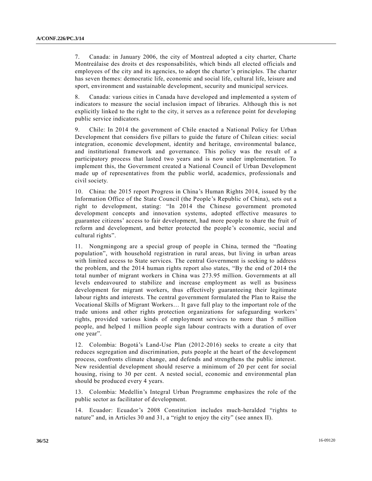7. Canada: in January 2006, the city of Montreal adopted a city charter, Charte Montreálaise des droits et des responsabilités, which binds all elected officials and employees of the city and its agencies, to adopt the charter's principles. The charter has seven themes: democratic life, economic and social life, cultural life, leisure and sport, environment and sustainable development, security and municipal services.

8. Canada: various cities in Canada have developed and implemented a system of indicators to measure the social inclusion impact of libraries. Although this is not explicitly linked to the right to the city, it serves as a reference point for developing public service indicators.

9. Chile: In 2014 the government of Chile enacted a National Policy for Urban Development that considers five pillars to guide the future of Chilean cities: social integration, economic development, identity and heritage, environmental balance, and institutional framework and governance. This policy was the result of a participatory process that lasted two years and is now under implementation. To implement this, the Government created a National Council of Urban Development made up of representatives from the public world, academics, professionals and civil society.

10. China: the 2015 report Progress in China's Human Rights 2014, issued by the Information Office of the State Council (the People's Republic of China), sets out a right to development, stating: "In 2014 the Chinese government promoted development concepts and innovation systems, adopted effective measures to guarantee citizens' access to fair development, had more people to share the fruit of reform and development, and better protected the people's economic, social and cultural rights".

11. Nongmingong are a special group of people in China, termed the "floating population", with household registration in rural areas, but living in urban areas with limited access to State services. The central Government is seeking to address the problem, and the 2014 human rights report also states, "By the end of 2014 the total number of migrant workers in China was 273.95 million. Governments at all levels endeavoured to stabilize and increase employment as well as business development for migrant workers, thus effectively guaranteeing their legitimate labour rights and interests. The central government formulated the Plan to Raise the Vocational Skills of Migrant Workers… It gave full play to the important role of the trade unions and other rights protection organizations for safeguarding workers' rights, provided various kinds of employment services to more than 5 million people, and helped 1 million people sign labour contracts with a duration of over one year".

12. Colombia: Bogotá's Land-Use Plan (2012-2016) seeks to create a city that reduces segregation and discrimination, puts people at the heart of the development process, confronts climate change, and defends and strengthens the public interest. New residential development should reserve a minimum of 20 per cent for social housing, rising to 30 per cent. A nested social, economic and environmental plan should be produced every 4 years.

13. Colombia: Medellin's Integral Urban Programme emphasizes the role of the public sector as facilitator of development.

14. Ecuador: Ecuador's 2008 Constitution includes much-heralded "rights to nature" and, in Articles 30 and 31, a "right to enjoy the city" (see annex II).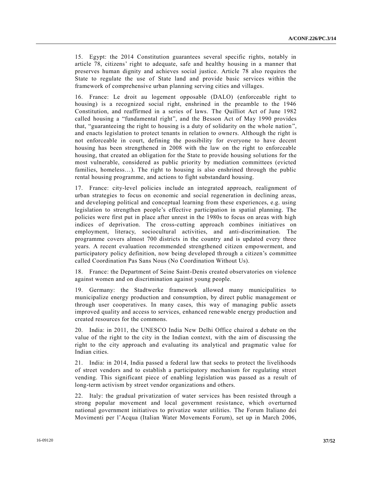15. Egypt: the 2014 Constitution guarantees several specific rights, notably in article 78, citizens' right to adequate, safe and healthy housing in a manner that preserves human dignity and achieves social justice. Article 78 also requires the State to regulate the use of State land and provide basic services within the framework of comprehensive urban planning serving cities and villages.

16. France: Le droit au logement opposable (DALO) (enforceable right to housing) is a recognized social right, enshrined in the preamble to the 1946 Constitution, and reaffirmed in a series of laws. The Quilliot Act of June 1982 called housing a "fundamental right", and the Besson Act of May 1990 provides that, "guaranteeing the right to housing is a duty of solidarity on the whole nation ", and enacts legislation to protect tenants in relation to owners. Although the right is not enforceable in court, defining the possibility for everyone to have decent housing has been strengthened in 2008 with the law on the right to enforceable housing, that created an obligation for the State to provide housing solutions for the most vulnerable, considered as public priority by mediation committees (evicted families, homeless…). The right to housing is also enshrined through the public rental housing programme, and actions to fight substandard housing.

17. France: city-level policies include an integrated approach, realignment of urban strategies to focus on economic and social regeneration in declining areas, and developing political and conceptual learning from these experiences, e.g. using legislation to strengthen people's effective participation in spatial planning. The policies were first put in place after unrest in the 1980s to focus on areas with high indices of deprivation. The cross-cutting approach combines initiatives on employment, literacy, sociocultural activities, and anti-discrimination. The programme covers almost 700 districts in the country and is updated every three years. A recent evaluation recommended strengthened citizen empowerment, and participatory policy definition, now being developed through a citizen's committee called Coordination Pas Sans Nous (No Coordination Without Us).

18. France: the Department of Seine Saint-Denis created observatories on violence against women and on discrimination against young people.

19. Germany: the Stadtwerke framework allowed many municipalities to municipalize energy production and consumption, by direct public management or through user cooperatives. In many cases, this way of managing public assets improved quality and access to services, enhanced renewable energy production and created resources for the commons.

20. India: in 2011, the UNESCO India New Delhi Office chaired a debate on the value of the right to the city in the Indian context, with the aim of discussing the right to the city approach and evaluating its analytical and pragmatic value for Indian cities.

21. India: in 2014, India passed a federal law that seeks to protect the livelihoods of street vendors and to establish a participatory mechanism for regulating street vending. This significant piece of enabling legislation was passed as a result of long-term activism by street vendor organizations and others.

22. Italy: the gradual privatization of water services has been resisted through a strong popular movement and local government resistance, which overturned national government initiatives to privatize water utilities. The Forum Italiano dei Movimenti per l'Acqua (Italian Water Movements Forum), set up in March 2006,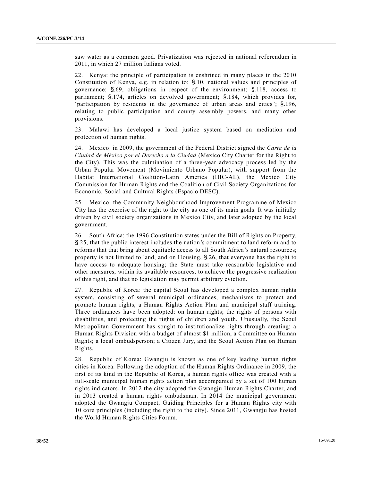saw water as a common good. Privatization was rejected in national referendum in 2011, in which 27 million Italians voted.

22. Kenya: the principle of participation is enshrined in many places in the 2010 Constitution of Kenya, e.g. in relation to: §.10, national values and principles of governance; §.69, obligations in respect of the environment; §.118, access to parliament; §.174, articles on devolved government; §.184, which provides for, 'participation by residents in the governance of urban areas and cities'; §.196, relating to public participation and county assembly powers, and many other provisions.

23. Malawi has developed a local justice system based on mediation and protection of human rights.

24. Mexico: in 2009, the government of the Federal District signed the *Carta de la Ciudad de México por el Derecho a la Ciudad* (Mexico City Charter for the Right to the City). This was the culmination of a three-year advocacy process led by the Urban Popular Movement (Movimiento Urbano Popular), with support from the Habitat International Coalition-Latin America (HIC-AL), the Mexico City Commission for Human Rights and the Coalition of Civil Society Organizations for Economic, Social and Cultural Rights (Espacio DESC).

25. Mexico: the Community Neighbourhood Improvement Programme of Mexico City has the exercise of the right to the city as one of its main goals. It was initially driven by civil society organizations in Mexico City, and later adopted by the local government.

26. South Africa: the 1996 Constitution states under the Bill of Rights on Property, §.25, that the public interest includes the nation's commitment to land reform and to reforms that that bring about equitable access to all South Africa 's natural resources; property is not limited to land, and on Housing, §.26, that everyone has the right to have access to adequate housing; the State must take reasonable legislative and other measures, within its available resources, to achieve the progressive realization of this right, and that no legislation may permit arbitrary eviction.

27. Republic of Korea: the capital Seoul has developed a complex human rights system, consisting of several municipal ordinances, mechanisms to protect and promote human rights, a Human Rights Action Plan and municipal staff training. Three ordinances have been adopted: on human rights; the rights of persons with disabilities, and protecting the rights of children and youth. Unusually, the Seoul Metropolitan Government has sought to institutionalize rights through creating: a Human Rights Division with a budget of almost \$1 million, a Committee on Human Rights; a local ombudsperson; a Citizen Jury, and the Seoul Action Plan on Human Rights.

28. Republic of Korea: Gwangju is known as one of key leading human rights cities in Korea. Following the adoption of the Human Rights Ordinance in 2009, the first of its kind in the Republic of Korea, a human rights office was created with a full-scale municipal human rights action plan accompanied by a set of 100 human rights indicators. In 2012 the city adopted the Gwangju Human Rights Charter, and in 2013 created a human rights ombudsman. In 2014 the municipal government adopted the Gwangju Compact, Guiding Principles for a Human Rights city with 10 core principles (including the right to the city). Since 2011, Gwangju has hosted the World Human Rights Cities Forum.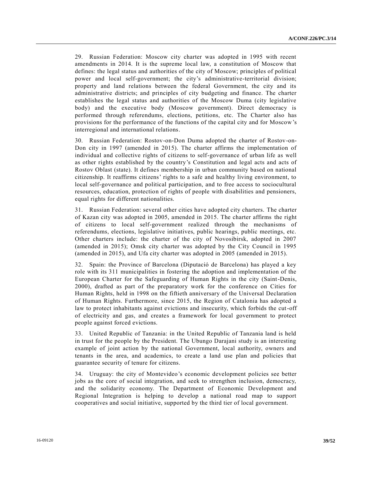29. Russian Federation: Moscow city charter was adopted in 1995 with recent amendments in 2014. It is the supreme local law, a constitution of Moscow that defines: the legal status and authorities of the city of Moscow; principles of political power and local self-government; the city's administrative-territorial division; property and land relations between the federal Government, the city and its administrative districts; and principles of city budgeting and finance. The charter establishes the legal status and authorities of the Moscow Duma (city legislative body) and the executive body (Moscow government). Direct democracy is performed through referendums, elections, petitions, etc. The Charter also has provisions for the performance of the functions of the capital city and for Moscow's interregional and international relations.

30. Russian Federation: Rostov-on-Don Duma adopted the charter of Rostov-on-Don city in 1997 (amended in 2015). The charter affirms the implementation of individual and collective rights of citizens to self-governance of urban life as well as other rights established by the country's Constitution and legal acts and acts of Rostov Oblast (state). It defines membership in urban community based on national citizenship. It reaffirms citizens' rights to a safe and healthy living environment, to local self-governance and political participation, and to free access to sociocultural resources, education, protection of rights of people with disabilities and pensioners, equal rights for different nationalities.

31. Russian Federation: several other cities have adopted city charters. The charter of Kazan city was adopted in 2005, amended in 2015. The charter affirms the right of citizens to local self-government realized through the mechanisms of referendums, elections, legislative initiatives, public hearings, public meetings, etc. Other charters include: the charter of the city of Novosibirsk, adopted in 2007 (amended in 2015); Omsk city charter was adopted by the City Council in 1995 (amended in 2015), and Ufa city charter was adopted in 2005 (amended in 2015).

32. Spain: the Province of Barcelona (Diputació de Barcelona) has played a key role with its 311 municipalities in fostering the adoption and implementation of the European Charter for the Safeguarding of Human Rights in the city (Saint-Denis, 2000), drafted as part of the preparatory work for the conference on Cities for Human Rights, held in 1998 on the fiftieth anniversary of the Universal Declaration of Human Rights. Furthermore, since 2015, the Region of Catalonia has adopted a law to protect inhabitants against evictions and insecurity, which forbids the cut-off of electricity and gas, and creates a framework for local government to protect people against forced evictions.

33. United Republic of Tanzania: in the United Republic of Tanzania land is held in trust for the people by the President. The Ubungo Darajani study is an interesting example of joint action by the national Government, local authority, owners and tenants in the area, and academics, to create a land use plan and policies that guarantee security of tenure for citizens.

34. Uruguay: the city of Montevideo's economic development policies see better jobs as the core of social integration, and seek to strengthen inclusion, democracy, and the solidarity economy. The Department of Economic Development and Regional Integration is helping to develop a national road map to support cooperatives and social initiative, supported by the third tier of local government.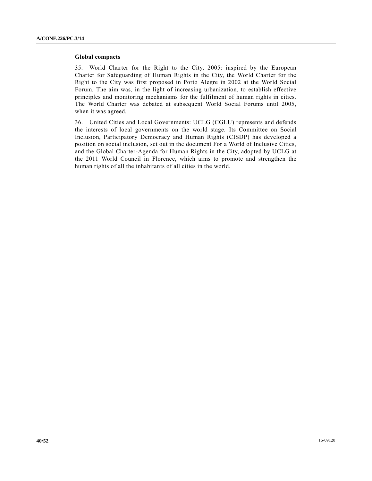#### **Global compacts**

35. World Charter for the Right to the City, 2005: inspired by the European Charter for Safeguarding of Human Rights in the City, the World Charter for the Right to the City was first proposed in Porto Alegre in 2002 at the World Social Forum. The aim was, in the light of increasing urbanization, to establish effective principles and monitoring mechanisms for the fulfilment of human rights in cities. The World Charter was debated at subsequent World Social Forums until 2005, when it was agreed.

36. United Cities and Local Governments: UCLG (CGLU) represents and defends the interests of local governments on the world stage. Its Committee on Social Inclusion, Participatory Democracy and Human Rights (CISDP) has developed a position on social inclusion, set out in the document For a World of Inclusive Cities, and the Global Charter-Agenda for Human Rights in the City, adopted by UCLG at the 2011 World Council in Florence, which aims to promote and strengthen the human rights of all the inhabitants of all cities in the world.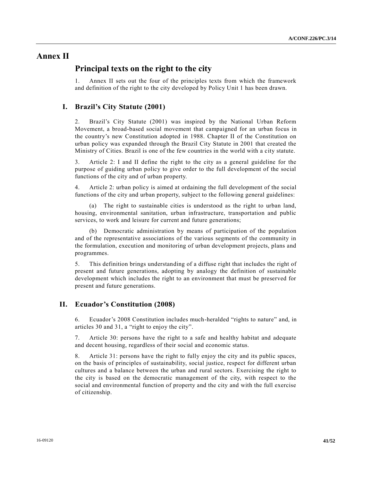# **Annex II**

# **Principal texts on the right to the city**

1. Annex II sets out the four of the principles texts from which the framework and definition of the right to the city developed by Policy Unit 1 has been drawn.

## **I. Brazil's City Statute (2001)**

2. Brazil's City Statute (2001) was inspired by the National Urban Reform Movement, a broad-based social movement that campaigned for an urban focus in the country's new Constitution adopted in 1988. Chapter II of the Constitution on urban policy was expanded through the Brazil City Statute in 2001 that created the Ministry of Cities. Brazil is one of the few countries in the world with a city statute.

3. Article 2: I and II define the right to the city as a general guideline for the purpose of guiding urban policy to give order to the full development of the social functions of the city and of urban property.

4. Article 2: urban policy is aimed at ordaining the full development of the social functions of the city and urban property, subject to the following general guidelines:

(a) The right to sustainable cities is understood as the right to urban land, housing, environmental sanitation, urban infrastructure, transportation and public services, to work and leisure for current and future generations;

(b) Democratic administration by means of participation of the population and of the representative associations of the various segments of the community in the formulation, execution and monitoring of urban development projects, plans and programmes.

5. This definition brings understanding of a diffuse right that includes the right of present and future generations, adopting by analogy the definition of sustainable development which includes the right to an environment that must be preserved for present and future generations.

## **II. Ecuador's Constitution (2008)**

6. Ecuador's 2008 Constitution includes much-heralded "rights to nature" and, in articles 30 and 31, a "right to enjoy the city".

7. Article 30: persons have the right to a safe and healthy habitat and adequate and decent housing, regardless of their social and economic status.

8. Article 31: persons have the right to fully enjoy the city and its public spaces, on the basis of principles of sustainability, social justice, respect for different urban cultures and a balance between the urban and rural sectors. Exercising the right to the city is based on the democratic management of the city, with respect to the social and environmental function of property and the city and with the full exercise of citizenship.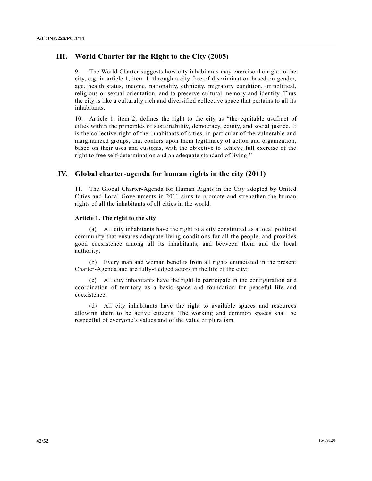## **III. World Charter for the Right to the City (2005)**

9. The World Charter suggests how city inhabitants may exercise the right to the city, e.g. in article 1, item 1: through a city free of discrimination based on gender, age, health status, income, nationality, ethnicity, migratory condition, or political, religious or sexual orientation, and to preserve cultural memory and identity. Thus the city is like a culturally rich and diversified collective space that pertains to all its inhabitants.

10. Article 1, item 2, defines the right to the city as "the equitable usufruct of cities within the principles of sustainability, democracy, equity, and social justice. It is the collective right of the inhabitants of cities, in particular of the vulnerable and marginalized groups, that confers upon them legitimacy of action and organization, based on their uses and customs, with the objective to achieve full exercise of the right to free self-determination and an adequate standard of living."

## **IV. Global charter-agenda for human rights in the city (2011)**

11. The Global Charter-Agenda for Human Rights in the City adopted by United Cities and Local Governments in 2011 aims to promote and strengthen the human rights of all the inhabitants of all cities in the world.

#### **Article 1. The right to the city**

(a) All city inhabitants have the right to a city constituted as a local political community that ensures adequate living conditions for all the people, and provides good coexistence among all its inhabitants, and between them and the local authority;

(b) Every man and woman benefits from all rights enunciated in the present Charter-Agenda and are fully-fledged actors in the life of the city;

(c) All city inhabitants have the right to participate in the configuration and coordination of territory as a basic space and foundation for peaceful life and coexistence;

(d) All city inhabitants have the right to available spaces and resources allowing them to be active citizens. The working and common spaces shall be respectful of everyone's values and of the value of pluralism.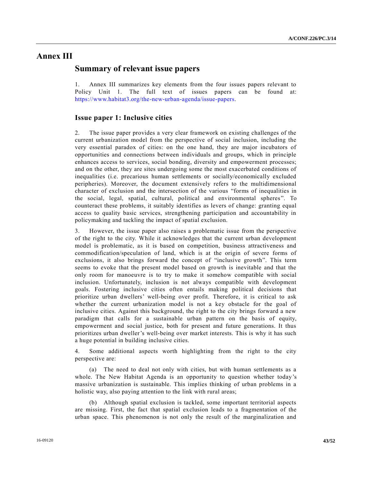# **Annex III**

# **Summary of relevant issue papers**

1. Annex III summarizes key elements from the four issues papers relevant to Policy Unit 1. The full text of issues papers can be found at: [https://www.habitat3.org/the-new-urban-agenda/issue-papers.](https://www.habitat3.org/the-new-urban-agenda/issue-papers)

## **Issue paper 1: Inclusive cities**

2. The issue paper provides a very clear framework on existing challenges of the current urbanization model from the perspective of social inclusion, including the very essential paradox of cities: on the one hand, they are major incubators of opportunities and connections between individuals and groups, which in principle enhances access to services, social bonding, diversity and empowerment processes; and on the other, they are sites undergoing some the most exacerbated conditions of inequalities (i.e. precarious human settlements or socially/economically excluded peripheries). Moreover, the document extensively refers to the multidimensional character of exclusion and the intersection of the various "forms of inequalities in the social, legal, spatial, cultural, political and environmental spheres ". To counteract these problems, it suitably identifies as levers of change: granting equal access to quality basic services, strengthening participation and accountability in policymaking and tackling the impact of spatial exclusion.

3. However, the issue paper also raises a problematic issue from the perspective of the right to the city. While it acknowledges that the current urban development model is problematic, as it is based on competition, business attractiveness and commodification/speculation of land, which is at the origin of severe forms of exclusions, it also brings forward the concept of "inclusive growth". This term seems to evoke that the present model based on growth is inevitable and that the only room for manoeuvre is to try to make it somehow compatible with social inclusion. Unfortunately, inclusion is not always compatible with development goals. Fostering inclusive cities often entails making political decisions that prioritize urban dwellers' well-being over profit. Therefore, it is critical to ask whether the current urbanization model is not a key obstacle for the goal of inclusive cities. Against this background, the right to the city brings forward a new paradigm that calls for a sustainable urban pattern on the basis of equity, empowerment and social justice, both for present and future generations. It thus prioritizes urban dweller's well-being over market interests. This is why it has such a huge potential in building inclusive cities.

4. Some additional aspects worth highlighting from the right to the city perspective are:

(a) The need to deal not only with cities, but with human settlements as a whole. The New Habitat Agenda is an opportunity to question whether today's massive urbanization is sustainable. This implies thinking of urban problems in a holistic way, also paying attention to the link with rural areas;

(b) Although spatial exclusion is tackled, some important territorial aspects are missing. First, the fact that spatial exclusion leads to a fragmentation of the urban space. This phenomenon is not only the result of the marginalization and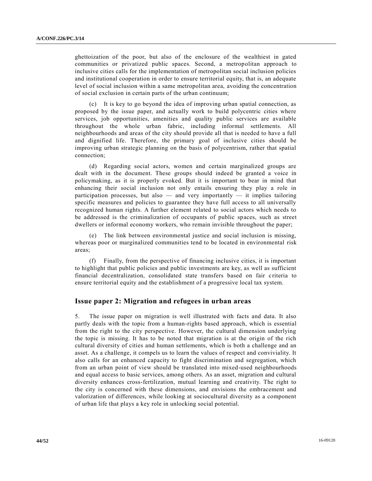ghettoization of the poor, but also of the enclosure of the wealthiest in gated communities or privatized public spaces. Second, a metropolitan approach to inclusive cities calls for the implementation of metropolitan social inclusion policies and institutional cooperation in order to ensure territorial equity, that is, an adequate level of social inclusion within a same metropolitan area, avoiding the concentration of social exclusion in certain parts of the urban continuum;

(c) It is key to go beyond the idea of improving urban spatial connection, as proposed by the issue paper, and actually work to build polycentric cities where services, job opportunities, amenities and quality public services are available throughout the whole urban fabric, including informal settlements. All neighbourhoods and areas of the city should provide all that is needed to have a full and dignified life. Therefore, the primary goal of inclusive cities should be improving urban strategic planning on the basis of polycentrism, rather that spatial connection;

(d) Regarding social actors, women and certain marginalized groups are dealt with in the document. These groups should indeed be granted a voice in policymaking, as it is properly evoked. But it is important to bear in mind that enhancing their social inclusion not only entails ensuring they play a role in participation processes, but also — and very importantly — it implies tailoring specific measures and policies to guarantee they have full access to all universally recognized human rights. A further element related to social actors which needs to be addressed is the criminalization of occupants of public spaces, such as street dwellers or informal economy workers, who remain invisible throughout the paper;

The link between environmental justice and social inclusion is missing, whereas poor or marginalized communities tend to be located in environmental risk areas;

(f) Finally, from the perspective of financing inclusive cities, it is important to highlight that public policies and public investments are key, as well as sufficient financial decentralization, consolidated state transfers based on fair c riteria to ensure territorial equity and the establishment of a progressive local tax system.

### **Issue paper 2: Migration and refugees in urban areas**

5. The issue paper on migration is well illustrated with facts and data. It also partly deals with the topic from a human-rights based approach, which is essential from the right to the city perspective. However, the cultural dimension underlying the topic is missing. It has to be noted that migration is at the origin of the rich cultural diversity of cities and human settlements, which is both a challenge and an asset. As a challenge, it compels us to learn the values of respect and conviviality. It also calls for an enhanced capacity to fight discrimination and segregation, which from an urban point of view should be translated into mixed-used neighbourhoods and equal access to basic services, among others. As an asset, migration and cultural diversity enhances cross-fertilization, mutual learning and creativity. The right to the city is concerned with these dimensions, and envisions the embracement and valorization of differences, while looking at sociocultural diversity as a component of urban life that plays a key role in unlocking social potential.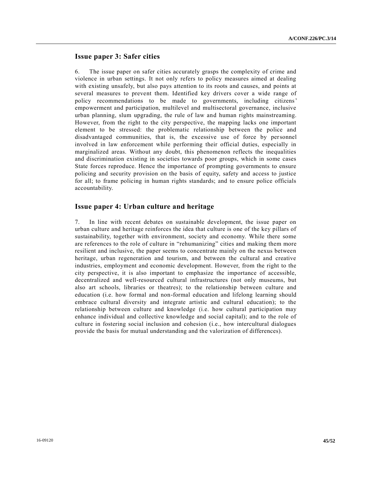# **Issue paper 3: Safer cities**

6. The issue paper on safer cities accurately grasps the complexity of crime and violence in urban settings. It not only refers to policy measures aimed at dealing with existing unsafely, but also pays attention to its roots and causes, and points at several measures to prevent them. Identified key drivers cover a wide range of policy recommendations to be made to governments, including citizens' empowerment and participation, multilevel and multisectoral governance, inclusive urban planning, slum upgrading, the rule of law and human rights mainstreaming. However, from the right to the city perspective, the mapping lacks one important element to be stressed: the problematic relationship between the police and disadvantaged communities, that is, the excessive use of force by personnel involved in law enforcement while performing their official duties, especially in marginalized areas. Without any doubt, this phenomenon reflects the inequalities and discrimination existing in societies towards poor groups, which in some cases State forces reproduce. Hence the importance of prompting governments to ensure policing and security provision on the basis of equity, safety and access to justice for all; to frame policing in human rights standards; and to ensure police officials accountability.

## **Issue paper 4: Urban culture and heritage**

7. In line with recent debates on sustainable development, the issue paper on urban culture and heritage reinforces the idea that culture is one of the key pillars of sustainability, together with environment, society and economy. While there some are references to the role of culture in "rehumanizing" cities and making them more resilient and inclusive, the paper seems to concentrate mainly on the nexus between heritage, urban regeneration and tourism, and between the cultural and creative industries, employment and economic development. However, from the right to the city perspective, it is also important to emphasize the importance of accessible, decentralized and well-resourced cultural infrastructures (not only museums, but also art schools, libraries or theatres); to the relationship between culture and education (i.e. how formal and non-formal education and lifelong learning should embrace cultural diversity and integrate artistic and cultural education); to the relationship between culture and knowledge (i.e. how cultural participation may enhance individual and collective knowledge and social capital); and to the role of culture in fostering social inclusion and cohesion (i.e., how intercultural dialogues provide the basis for mutual understanding and the valorization of differences).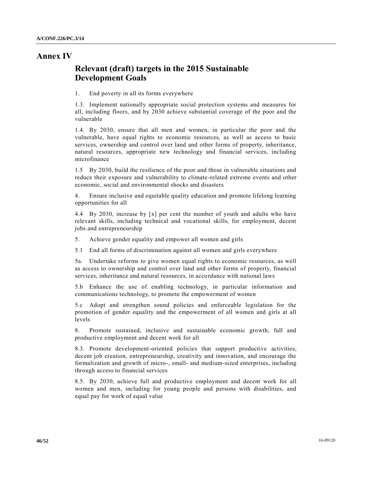# **Annex IV**

# **Relevant (draft) targets in the 2015 Sustainable Development Goals**

1. End poverty in all its forms everywhere

1.3. Implement nationally appropriate social protection systems and measures for all, including floors, and by 2030 achieve substantial coverage of the poor and the vulnerable

1.4. By 2030, ensure that all men and women, in particular the poor and the vulnerable, have equal rights to economic resources, as well as access to basic services, ownership and control over land and other forms of property, inheritance, natural resources, appropriate new technology and financial services, including microfinance

1.5 By 2030, build the resilience of the poor and those in vulnerable situations and reduce their exposure and vulnerability to climate-related extreme events and other economic, social and environmental shocks and disasters

4. Ensure inclusive and equitable quality education and promote lifelong learning opportunities for all

4.4 By 2030, increase by [x] per cent the number of youth and adults who have relevant skills, including technical and vocational skills, for employment, decent jobs and entrepreneurship

5. Achieve gender equality and empower all women and girls

5.1 End all forms of discrimination against all women and girls everywhere

5a. Undertake reforms to give women equal rights to economic resources, as well as access to ownership and control over land and other forms of property, financial services, inheritance and natural resources, in accordance with national laws

5.b Enhance the use of enabling technology, in particular information and communications technology, to promote the empowerment of women

5.c Adopt and strengthen sound policies and enforceable legislation for the promotion of gender equality and the empowerment of all women and girls at all levels

8. Promote sustained, inclusive and sustainable economic growth, full and productive employment and decent work for all

8.3. Promote development-oriented policies that support productive activities, decent job creation, entrepreneurship, creativity and innovation, and encourage the formalization and growth of micro-, small- and medium-sized enterprises, including through access to financial services

8.5. By 2030, achieve full and productive employment and decent work for all women and men, including for young people and persons with disabilities, and equal pay for work of equal value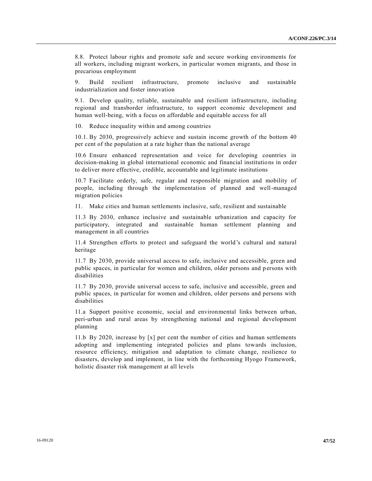8.8. Protect labour rights and promote safe and secure working environments for all workers, including migrant workers, in particular women migrants, and those in precarious employment

9. Build resilient infrastructure, promote inclusive and sustainable industrialization and foster innovation

9.1. Develop quality, reliable, sustainable and resilient infrastructure, including regional and transborder infrastructure, to support economic development and human well-being, with a focus on affordable and equitable access for all

10. Reduce inequality within and among countries

10.1. By 2030, progressively achieve and sustain income growth of the bottom 40 per cent of the population at a rate higher than the national average

10.6 Ensure enhanced representation and voice for developing countries in decision-making in global international economic and financial institutions in order to deliver more effective, credible, accountable and legitimate institutions

10.7 Facilitate orderly, safe, regular and responsible migration and mobility of people, including through the implementation of planned and well-managed migration policies

11. Make cities and human settlements inclusive, safe, resilient and sustainable

11.3 By 2030, enhance inclusive and sustainable urbanization and capacity for participatory, integrated and sustainable human settlement planning and management in all countries

11.4 Strengthen efforts to protect and safeguard the world's cultural and natural heritage

11.7 By 2030, provide universal access to safe, inclusive and accessible, green and public spaces, in particular for women and children, older persons and persons with disabilities

11.7 By 2030, provide universal access to safe, inclusive and accessible, green and public spaces, in particular for women and children, older persons and persons with disabilities

11.a Support positive economic, social and environmental links between urban, peri-urban and rural areas by strengthening national and regional development planning

11.b By 2020, increase by [x] per cent the number of cities and human settlements adopting and implementing integrated policies and plans towards inclusion, resource efficiency, mitigation and adaptation to climate change, resilience to disasters, develop and implement, in line with the forthcoming Hyogo Framework, holistic disaster risk management at all levels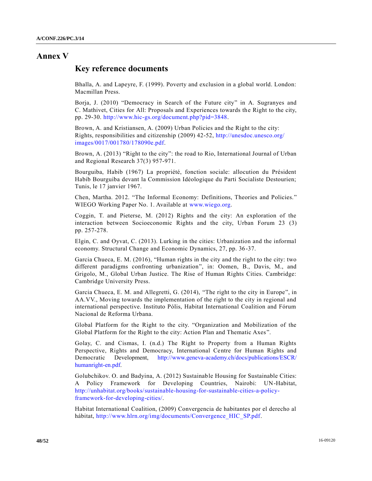# **Annex V**

# **Key reference documents**

Bhalla, A. and Lapeyre, F. (1999). Poverty and exclusion in a global world. London: Macmillan Press.

Borja, J. (2010) "Democracy in Search of the Future city" in A. Sugranyes and C. Mathivet, Cities for All: Proposals and Experiences towards the Right to the city, pp. 29-30. [http://www.hic-gs.org/document.php?pid=3848.](http://www.hic-gs.org/document.php?pid=3848)

Brown, A. and Kristiansen, A. (2009) Urban Policies and the Right to the city: Rights, responsibilities and citizenship (2009) 42-52, [http://unesdoc.unesco.org/](http://unesdoc.unesco.org/images/0017/001780/178090e.pdf) [images/0017/001780/178090e.pdf.](http://unesdoc.unesco.org/images/0017/001780/178090e.pdf)

Brown, A. (2013) "Right to the city": the road to Rio, International Journal of Urban and Regional Research 37(3) 957-971.

Bourguiba, Habib (1967) La propriété, fonction sociale: allocution du Président Habib Bourguiba devant la Commission Idéologique du Parti Socialiste Destourien; Tunis, le 17 janvier 1967.

Chen, Martha. 2012. "The Informal Economy: Definitions, Theories and Policies." WIEGO Working Paper No. 1. Available at [www.wiego.org.](http://www.wiego.org/)

Coggin, T. and Pieterse, M. (2012) Rights and the city: An exploration of the interaction between Socioeconomic Rights and the city, Urban Forum 23 (3) pp. 257-278.

Elgin, C. and Oyvat, C. (2013). Lurking in the cities: Urbanization and the informal economy. Structural Change and Economic Dynamics, 27, pp. 36-37.

Garcia Chueca, E. M. (2016), "Human rights in the city and the right to the city: two different paradigms confronting urbanization", in: Oomen, B., Davis, M., and Grigolo, M., Global Urban Justice. The Rise of Human Rights Cities. Cambridge: Cambridge University Press.

Garcia Chueca, E. M. and Allegretti, G. (2014), "The right to the city in Europe", in AA.VV., Moving towards the implementation of the right to the city in regional and international perspective. Instituto Pólis, Habitat International Coalition and Fórum Nacional de Reforma Urbana.

Global Platform for the Right to the city. "Organization and Mobilization of the Global Platform for the Right to the city: Action Plan and Thematic Axes ".

Golay, C. and Cismas, I. (n.d.) The Right to Property from a Human Rights Perspective, Rights and Democracy, International Centre for Human Rights and Democratic Development, [http://www.geneva-academy.ch/docs/publications/ESCR/](http://www.geneva-academy.ch/docs/publications/ESCR/humanright-en.pdf) [humanright-en.pdf.](http://www.geneva-academy.ch/docs/publications/ESCR/humanright-en.pdf)

Golubchikov. O. and Badyina, A. (2012) Sustainable Housing for Sustainable Cities: A Policy Framework for Developing Countries, Nairobi: UN-Habitat, [http://unhabitat.org/books/sustainable-housing-for-sustainable-cities-a-policy](http://unhabitat.org/books/sustainable-housing-for-sustainable-cities-a-policy-framework-for-developing-cities/)[framework-for-developing-cities/.](http://unhabitat.org/books/sustainable-housing-for-sustainable-cities-a-policy-framework-for-developing-cities/)

Habitat International Coalition, (2009) Convergencia de habitantes por el derecho al hábitat, [http://www.hlrn.org/img/documents/Convergence\\_HIC\\_SP.pdf.](http://www.hlrn.org/img/documents/Convergence_HIC_SP.pdf)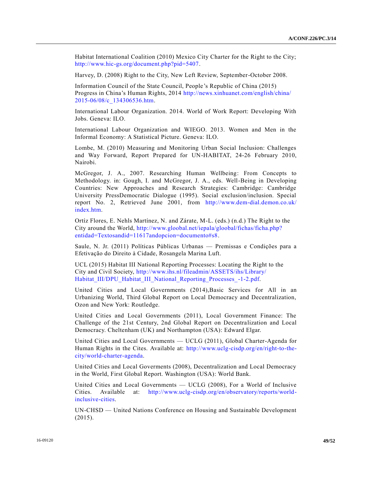Habitat International Coalition (2010) Mexico City Charter for the Right to the City; [http://www.hic-gs.org/document.php?pid=5407.](http://www.hic-gs.org/document.php?pid=5407)

Harvey, D. (2008) Right to the City, New Left Review, September-October 2008.

Information Council of the State Council, People's Republic of China (2015) Progress in China's Human Rights, 2014 [http://news.xinhuanet.com/english/china/](http://news.xinhuanet.com/english/china/2015-06/08/c_134306536.htm) [2015-06/08/c\\_134306536.htm.](http://news.xinhuanet.com/english/china/2015-06/08/c_134306536.htm)

International Labour Organization. 2014. World of Work Report: Developing With Jobs. Geneva: ILO.

International Labour Organization and WIEGO. 2013. Women and Men in the Informal Economy: A Statistical Picture. Geneva: ILO.

Lombe, M. (2010) Measuring and Monitoring Urban Social Inclusion: Challenges and Way Forward, Report Prepared for UN-HABITAT, 24-26 February 2010, Nairobi.

McGregor, J. A., 2007. Researching Human Wellbeing: From Concepts to Methodology. in: Gough, I. and McGregor, J. A., eds. Well-Being in Developing Countries: New Approaches and Research Strategies: Cambridge: Cambridge University PressDemocratic Dialogue (1995). Social exclusion/inclusion. Special report No. 2, Retrieved June 2001, from [http://www.dem-dial.demon.co.uk/](http://www.dem-dial.demon.co.uk/index.htm) [index.htm.](http://www.dem-dial.demon.co.uk/index.htm)

Ortíz Flores, E. Nehls Martínez, N. and Zárate, M-L. (eds.) (n.d.) The Right to the City around the World, [http://www.gloobal.net/iepala/gloobal/fichas/ficha.php?](http://www.gloobal.net/iepala/gloobal/fichas/ficha.php?entidad=Textosandid=11617andopcion=documento#s8) [entidad=Textosandid=11617andopcion=documento#s8.](http://www.gloobal.net/iepala/gloobal/fichas/ficha.php?entidad=Textosandid=11617andopcion=documento#s8)

Saule, N. Jr. (2011) Políticas Públicas Urbanas — Premissas e Condições para a Efetivação do Direito à Cidade, Rosangela Marina Luft.

UCL (2015) Habitat III National Reporting Processes: Locating the Right to the City and Civil Society, [http://www.ihs.nl/fileadmin/ASSETS/ihs/Library/](http://www.ihs.nl/fileadmin/ASSETS/ihs/Library/Habitat_III/DPU_Habitat_III_National_Reporting_Processes_-1-2.pdf) Habitat III/DPU Habitat III National Reporting Processes -1-2.pdf.

United Cities and Local Governments (2014),Basic Services for All in an Urbanizing World, Third Global Report on Local Democracy and Decentralization, Ozon and New York: Routledge.

United Cities and Local Governments (2011), Local Government Finance: The Challenge of the 21st Century, 2nd Global Report on Decentralization and Local Democracy. Cheltenham (UK) and Northampton (USA): Edward Elgar.

United Cities and Local Governments — UCLG (2011), Global Charter-Agenda for Human Rights in the Cites. Available at: [http://www.uclg-cisdp.org/en/right-to-the](http://www.uclg-cisdp.org/en/right-to-the-city/world-charter-agenda)[city/world-charter-agenda.](http://www.uclg-cisdp.org/en/right-to-the-city/world-charter-agenda)

United Cities and Local Goverments (2008), Decentralization and Local Democracy in the World, First Global Report. Washington (USA): World Bank.

United Cities and Local Governments — UCLG (2008), For a World of Inclusive Cities. Available at: [http://www.uclg-cisdp.org/en/observatory/reports/world](http://www.uclg-cisdp.org/en/observatory/reports/world-inclusive-cities)[inclusive-cities.](http://www.uclg-cisdp.org/en/observatory/reports/world-inclusive-cities)

UN-CHSD — United Nations Conference on Housing and Sustainable Development (2015).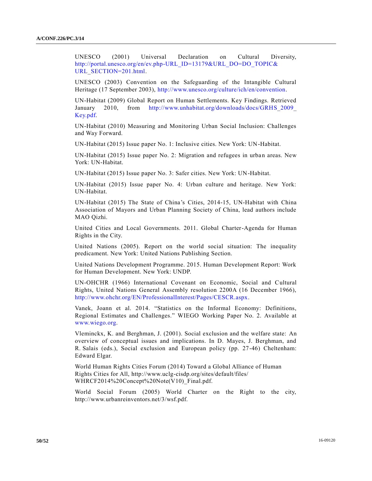UNESCO (2001) Universal Declaration on Cultural Diversity, [http://portal.unesco.org/en/ev.php-URL\\_ID=13179&URL\\_DO=DO\\_TOPIC&](http://portal.unesco.org/en/ev.php-URL_ID=13179&URL_DO=DO_TOPIC&URL_SECTION=201.html) [URL\\_SECTION=201.html.](http://portal.unesco.org/en/ev.php-URL_ID=13179&URL_DO=DO_TOPIC&URL_SECTION=201.html)

UNESCO (2003) Convention on the Safeguarding of the Intangible Cultural Heritage (17 September 2003), [http://www.unesco.org/culture/ich/en/convention.](http://www.unesco.org/culture/ich/en/convention)

UN-Habitat (2009) Global Report on Human Settlements. Key Findings. Retrieved January 2010, from [http://www.unhabitat.org/downloads/docs/GRHS\\_2009\\_](http://www.unhabitat.org/downloads/docs/GRHS_2009_Key.pdf) [Key.pdf.](http://www.unhabitat.org/downloads/docs/GRHS_2009_Key.pdf)

UN-Habitat (2010) Measuring and Monitoring Urban Social Inclusion: Challenges and Way Forward.

UN-Habitat (2015) Issue paper No. 1: Inclusive cities. New York: UN-Habitat.

UN-Habitat (2015) Issue paper No. 2: Migration and refugees in urban areas. New York: UN-Habitat.

UN-Habitat (2015) Issue paper No. 3: Safer cities. New York: UN-Habitat.

UN-Habitat (2015) Issue paper No. 4: Urban culture and heritage. New York: UN-Habitat.

UN-Habitat (2015) The State of China's Cities, 2014-15, UN-Habitat with China Association of Mayors and Urban Planning Society of China, lead authors include MAO Qizhi.

United Cities and Local Governments. 2011. Global Charter-Agenda for Human Rights in the City.

United Nations (2005). Report on the world social situation: The inequality predicament. New York: United Nations Publishing Section.

United Nations Development Programme. 2015. Human Development Report: Work for Human Development. New York: UNDP.

UN-OHCHR (1966) International Covenant on Economic, Social and Cultural Rights, United Nations General Assembly resolution 2200A (16 December 1966), [http://www.ohchr.org/EN/ProfessionalInterest/Pages/CESCR.aspx.](http://www.ohchr.org/EN/ProfessionalInterest/Pages/CESCR.aspx)

Vanek, Joann et al. 2014. "Statistics on the Informal Economy: Definitions, Regional Estimates and Challenges." WIEGO Working Paper No. 2. Available at [www.wiego.org.](http://www.wiego.org/)

Vleminckx, K. and Berghman, J. (2001). Social exclusion and the welfare state: An overview of conceptual issues and implications. In D. Mayes, J. Berghman, and R. Salais (eds.), Social exclusion and European policy (pp. 27-46) Cheltenham: Edward Elgar.

World Human Rights Cities Forum (2014) Toward a Global Alliance of Human Rights Cities for All, http://www.uclg-cisdp.org/sites/default/files/ WHRCF2014%20Concept%20Note(V10) Final.pdf.

World Social Forum (2005) World Charter on the Right to the city, http://www.urbanreinventors.net/3/wsf.pdf.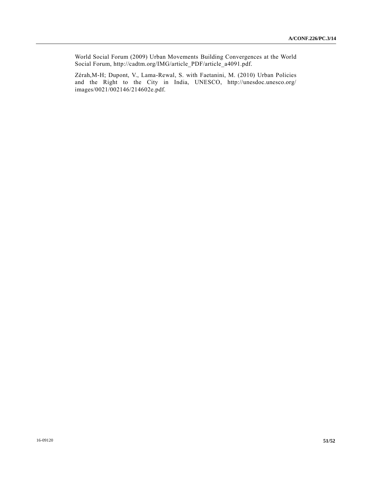World Social Forum (2009) Urban Movements Building Convergences at the World Social Forum, http://cadtm.org/IMG/article\_PDF/article\_a4091.pdf.

Zérah,M-H; Dupont, V., Lama-Rewal, S. with Faetanini, M. (2010) Urban Policies and the Right to the City in India, UNESCO, http://unesdoc.unesco.org/ images/0021/002146/214602e.pdf.